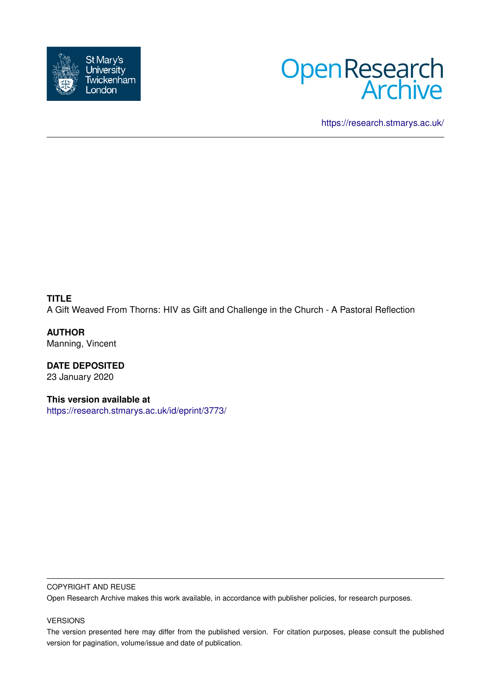



<https://research.stmarys.ac.uk/>

### **TITLE** A Gift Weaved From Thorns: HIV as Gift and Challenge in the Church - A Pastoral Reflection

**AUTHOR** Manning, Vincent

**DATE DEPOSITED** 23 January 2020

**This version available at** <https://research.stmarys.ac.uk/id/eprint/3773/>

### COPYRIGHT AND REUSE

Open Research Archive makes this work available, in accordance with publisher policies, for research purposes.

### VERSIONS

The version presented here may differ from the published version. For citation purposes, please consult the published version for pagination, volume/issue and date of publication.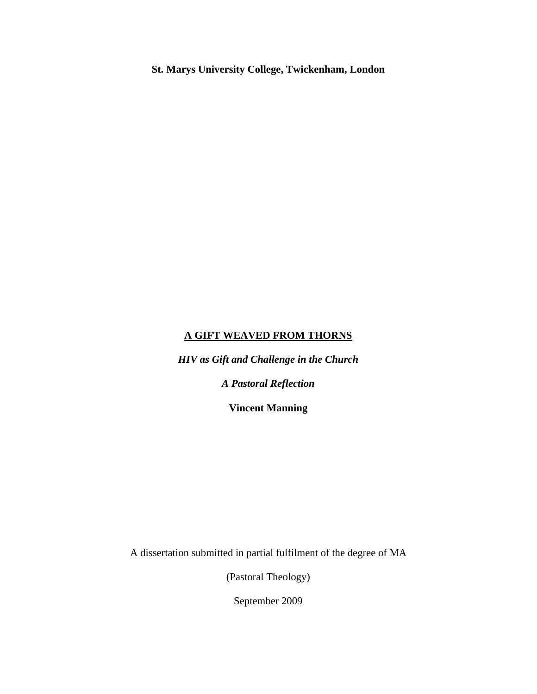**St. Marys University College, Twickenham, London**

### **A GIFT WEAVED FROM THORNS**

*HIV as Gift and Challenge in the Church* 

*A Pastoral Reflection*

**Vincent Manning**

A dissertation submitted in partial fulfilment of the degree of MA

(Pastoral Theology)

September 2009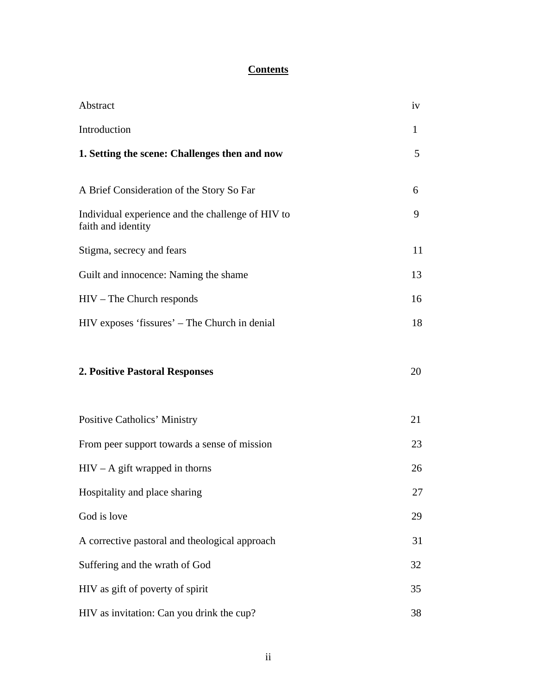## **Contents**

| Abstract                                                                | iv |
|-------------------------------------------------------------------------|----|
| Introduction                                                            | 1  |
| 1. Setting the scene: Challenges then and now                           | 5  |
|                                                                         |    |
| A Brief Consideration of the Story So Far                               | 6  |
| Individual experience and the challenge of HIV to<br>faith and identity | 9  |
| Stigma, secrecy and fears                                               | 11 |
| Guilt and innocence: Naming the shame                                   | 13 |
| $HIV$ – The Church responds                                             | 16 |
| HIV exposes 'fissures' – The Church in denial                           | 18 |
|                                                                         |    |
| <b>2. Positive Pastoral Responses</b>                                   | 20 |
|                                                                         |    |
| <b>Positive Catholics' Ministry</b>                                     | 21 |
| From peer support towards a sense of mission                            | 23 |
| $HIV - A$ gift wrapped in thorns                                        | 26 |
| Hospitality and place sharing                                           | 27 |
| God is love                                                             | 29 |
| A corrective pastoral and theological approach                          | 31 |
| Suffering and the wrath of God                                          | 32 |
| HIV as gift of poverty of spirit                                        | 35 |
| HIV as invitation: Can you drink the cup?                               | 38 |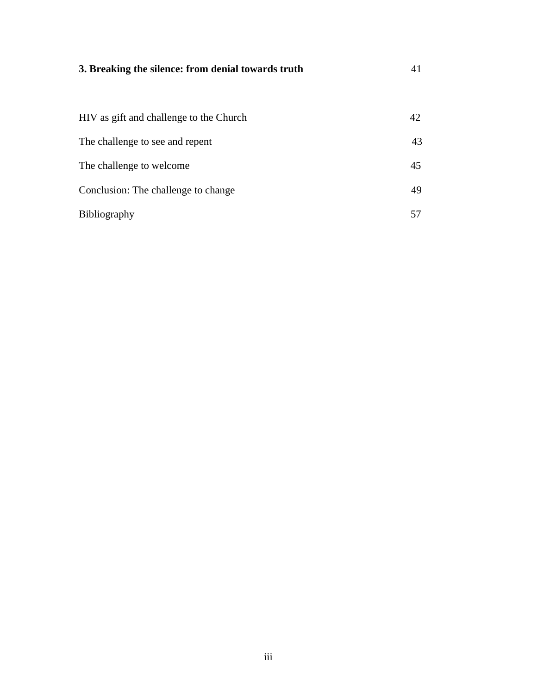# **3. Breaking the silence: from denial towards truth** 41

| HIV as gift and challenge to the Church | 42. |
|-----------------------------------------|-----|
| The challenge to see and repent         | 43  |
| The challenge to welcome                | 45  |
| Conclusion: The challenge to change     | 49  |
| <b>Bibliography</b>                     |     |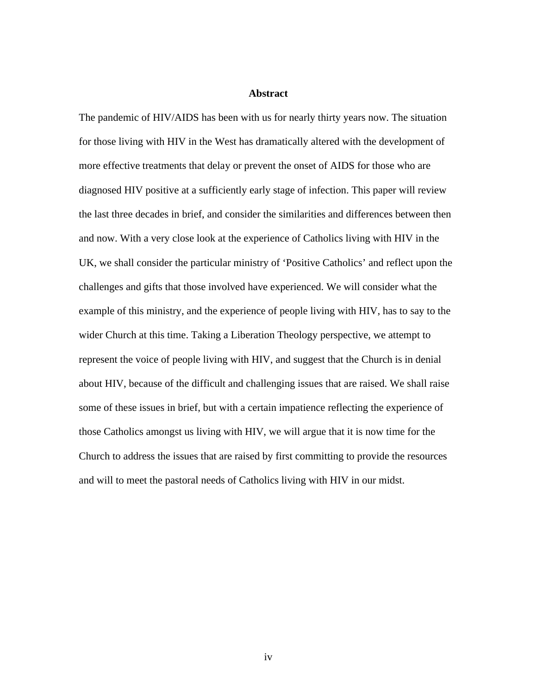### **Abstract**

The pandemic of HIV/AIDS has been with us for nearly thirty years now. The situation for those living with HIV in the West has dramatically altered with the development of more effective treatments that delay or prevent the onset of AIDS for those who are diagnosed HIV positive at a sufficiently early stage of infection. This paper will review the last three decades in brief, and consider the similarities and differences between then and now. With a very close look at the experience of Catholics living with HIV in the UK, we shall consider the particular ministry of 'Positive Catholics' and reflect upon the challenges and gifts that those involved have experienced. We will consider what the example of this ministry, and the experience of people living with HIV, has to say to the wider Church at this time. Taking a Liberation Theology perspective, we attempt to represent the voice of people living with HIV, and suggest that the Church is in denial about HIV, because of the difficult and challenging issues that are raised. We shall raise some of these issues in brief, but with a certain impatience reflecting the experience of those Catholics amongst us living with HIV, we will argue that it is now time for the Church to address the issues that are raised by first committing to provide the resources and will to meet the pastoral needs of Catholics living with HIV in our midst.

iv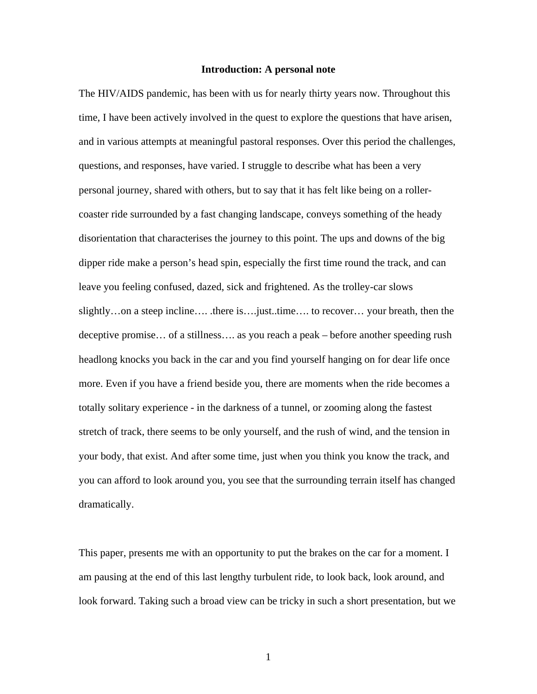### **Introduction: A personal note**

The HIV/AIDS pandemic, has been with us for nearly thirty years now. Throughout this time, I have been actively involved in the quest to explore the questions that have arisen, and in various attempts at meaningful pastoral responses. Over this period the challenges, questions, and responses, have varied. I struggle to describe what has been a very personal journey, shared with others, but to say that it has felt like being on a rollercoaster ride surrounded by a fast changing landscape, conveys something of the heady disorientation that characterises the journey to this point. The ups and downs of the big dipper ride make a person's head spin, especially the first time round the track, and can leave you feeling confused, dazed, sick and frightened. As the trolley-car slows slightly…on a steep incline…. .there is….just..time…. to recover… your breath, then the deceptive promise… of a stillness…. as you reach a peak – before another speeding rush headlong knocks you back in the car and you find yourself hanging on for dear life once more. Even if you have a friend beside you, there are moments when the ride becomes a totally solitary experience - in the darkness of a tunnel, or zooming along the fastest stretch of track, there seems to be only yourself, and the rush of wind, and the tension in your body, that exist. And after some time, just when you think you know the track, and you can afford to look around you, you see that the surrounding terrain itself has changed dramatically.

This paper, presents me with an opportunity to put the brakes on the car for a moment. I am pausing at the end of this last lengthy turbulent ride, to look back, look around, and look forward. Taking such a broad view can be tricky in such a short presentation, but we

1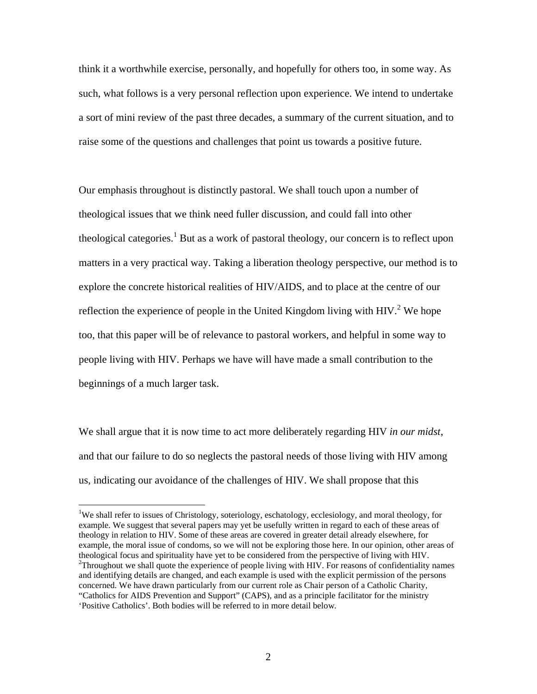think it a worthwhile exercise, personally, and hopefully for others too, in some way. As such, what follows is a very personal reflection upon experience. We intend to undertake a sort of mini review of the past three decades, a summary of the current situation, and to raise some of the questions and challenges that point us towards a positive future.

Our emphasis throughout is distinctly pastoral. We shall touch upon a number of theological issues that we think need fuller discussion, and could fall into other theological categories.<sup>1</sup> But as a work of pastoral theology, our concern is to reflect upon matters in a very practical way. Taking a liberation theology perspective, our method is to explore the concrete historical realities of HIV/AIDS, and to place at the centre of our reflection the experience of people in the United Kingdom living with  $HIV<sup>2</sup>$  We hope too, that this paper will be of relevance to pastoral workers, and helpful in some way to people living with HIV. Perhaps we have will have made a small contribution to the beginnings of a much larger task.

We shall argue that it is now time to act more deliberately regarding HIV *in our midst*, and that our failure to do so neglects the pastoral needs of those living with HIV among us, indicating our avoidance of the challenges of HIV. We shall propose that this

<sup>&</sup>lt;sup>1</sup>We shall refer to issues of Christology, soteriology, eschatology, ecclesiology, and moral theology, for example. We suggest that several papers may yet be usefully written in regard to each of these areas of theology in relation to HIV. Some of these areas are covered in greater detail already elsewhere, for example, the moral issue of condoms, so we will not be exploring those here. In our opinion, other areas of theological focus and spirituality have yet to be considered from the perspective of living with HIV.  $2$ Throughout we shall quote the experience of people living with HIV. For reasons of confidentiality names and identifying details are changed, and each example is used with the explicit permission of the persons concerned. We have drawn particularly from our current role as Chair person of a Catholic Charity, "Catholics for AIDS Prevention and Support" (CAPS), and as a principle facilitator for the ministry 'Positive Catholics'. Both bodies will be referred to in more detail below.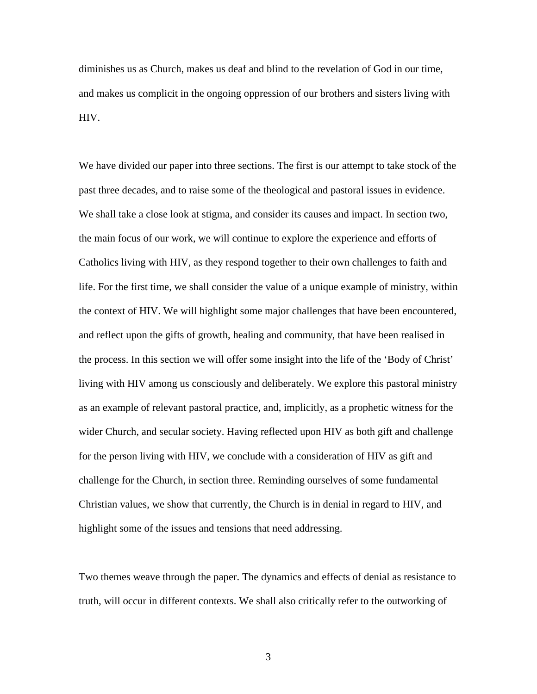diminishes us as Church, makes us deaf and blind to the revelation of God in our time, and makes us complicit in the ongoing oppression of our brothers and sisters living with HIV.

We have divided our paper into three sections. The first is our attempt to take stock of the past three decades, and to raise some of the theological and pastoral issues in evidence. We shall take a close look at stigma, and consider its causes and impact. In section two, the main focus of our work, we will continue to explore the experience and efforts of Catholics living with HIV, as they respond together to their own challenges to faith and life. For the first time, we shall consider the value of a unique example of ministry, within the context of HIV. We will highlight some major challenges that have been encountered, and reflect upon the gifts of growth, healing and community, that have been realised in the process. In this section we will offer some insight into the life of the 'Body of Christ' living with HIV among us consciously and deliberately. We explore this pastoral ministry as an example of relevant pastoral practice, and, implicitly, as a prophetic witness for the wider Church, and secular society. Having reflected upon HIV as both gift and challenge for the person living with HIV, we conclude with a consideration of HIV as gift and challenge for the Church, in section three. Reminding ourselves of some fundamental Christian values, we show that currently, the Church is in denial in regard to HIV, and highlight some of the issues and tensions that need addressing.

Two themes weave through the paper. The dynamics and effects of denial as resistance to truth, will occur in different contexts. We shall also critically refer to the outworking of

3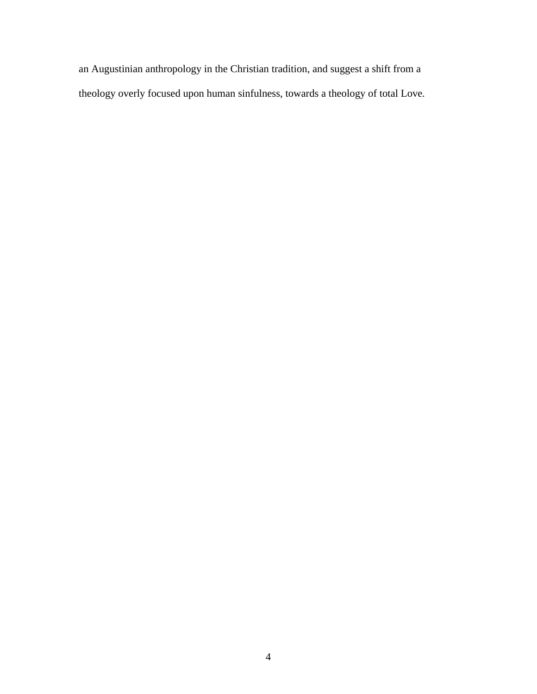an Augustinian anthropology in the Christian tradition, and suggest a shift from a theology overly focused upon human sinfulness, towards a theology of total Love.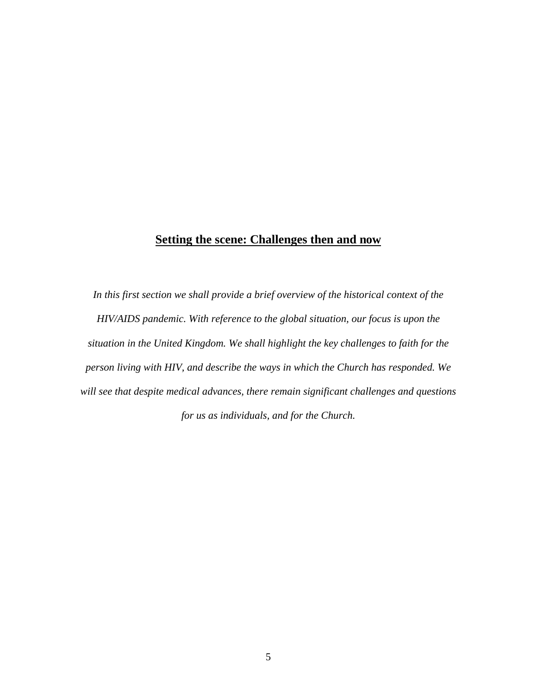### **Setting the scene: Challenges then and now**

*In this first section we shall provide a brief overview of the historical context of the HIV/AIDS pandemic. With reference to the global situation, our focus is upon the situation in the United Kingdom. We shall highlight the key challenges to faith for the person living with HIV, and describe the ways in which the Church has responded. We will see that despite medical advances, there remain significant challenges and questions for us as individuals, and for the Church.*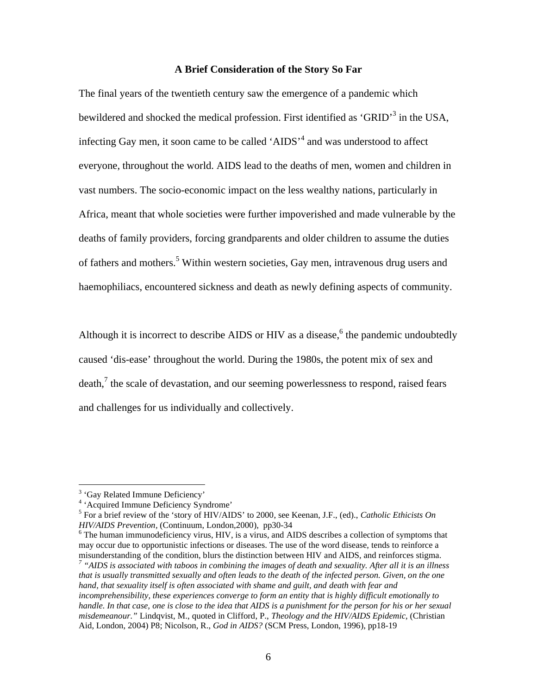### **A Brief Consideration of the Story So Far**

The final years of the twentieth century saw the emergence of a pandemic which bewildered and shocked the medical profession. First identified as 'GRID'<sup>3</sup> in the USA, infecting Gay men, it soon came to be called 'AIDS'<sup>4</sup> and was understood to affect everyone, throughout the world. AIDS lead to the deaths of men, women and children in vast numbers. The socio-economic impact on the less wealthy nations, particularly in Africa, meant that whole societies were further impoverished and made vulnerable by the deaths of family providers, forcing grandparents and older children to assume the duties of fathers and mothers.<sup>5</sup> Within western societies, Gay men, intravenous drug users and haemophiliacs, encountered sickness and death as newly defining aspects of community.

Although it is incorrect to describe AIDS or HIV as a disease,<sup>6</sup> the pandemic undoubtedly caused 'dis-ease' throughout the world. During the 1980s, the potent mix of sex and death, $\frac{7}{1}$  the scale of devastation, and our seeming powerlessness to respond, raised fears and challenges for us individually and collectively.

 $\overline{a}$ 

<sup>5</sup> For a brief review of the 'story of HIV/AIDS' to 2000, see Keenan, J.F., (ed)., *Catholic Ethicists On HIV/AIDS Prevention,* (Continuum, London,2000), pp30-34<br><sup>6</sup> The human immunodeficiency virus, HIV, is a virus, and AIDS describes a collection of symptoms that

may occur due to opportunistic infections or diseases. The use of the word disease, tends to reinforce a misunderstanding of the condition, blurs the distinction between HIV and AIDS, and reinforces stigma.

<sup>&</sup>lt;sup>3</sup> 'Gay Related Immune Deficiency'

<sup>4</sup> 'Acquired Immune Deficiency Syndrome'

*<sup>7</sup> "AIDS is associated with taboos in combining the images of death and sexuality. After all it is an illness that is usually transmitted sexually and often leads to the death of the infected person. Given, on the one hand, that sexuality itself is often associated with shame and guilt, and death with fear and incomprehensibility, these experiences converge to form an entity that is highly difficult emotionally to handle. In that case, one is close to the idea that AIDS is a punishment for the person for his or her sexual misdemeanour."* Lindqvist, M., quoted in Clifford, P., *Theology and the HIV/AIDS Epidemic,* (Christian Aid, London, 2004) P8; Nicolson, R., *God in AIDS?* (SCM Press, London, 1996), pp18-19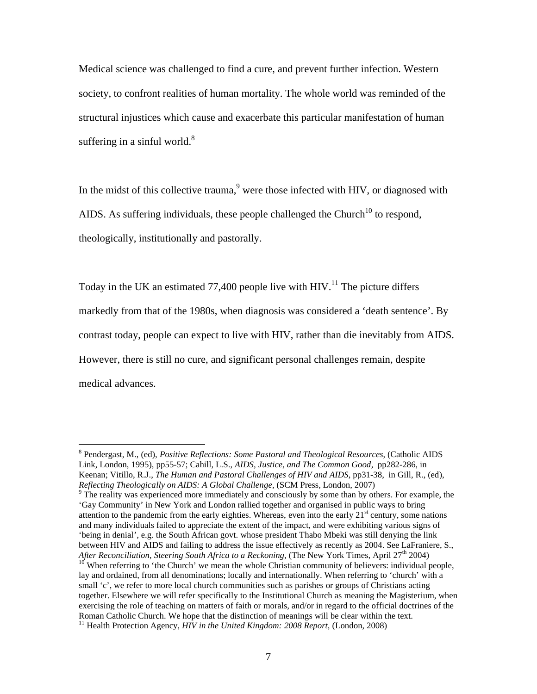Medical science was challenged to find a cure, and prevent further infection. Western society, to confront realities of human mortality. The whole world was reminded of the structural injustices which cause and exacerbate this particular manifestation of human suffering in a sinful world. $8$ 

In the midst of this collective trauma, $9$  were those infected with HIV, or diagnosed with AIDS. As suffering individuals, these people challenged the Church<sup>10</sup> to respond, theologically, institutionally and pastorally.

Today in the UK an estimated 77,400 people live with HIV.<sup>11</sup> The picture differs markedly from that of the 1980s, when diagnosis was considered a 'death sentence'. By contrast today, people can expect to live with HIV, rather than die inevitably from AIDS. However, there is still no cure, and significant personal challenges remain, despite medical advances.

<sup>8</sup> Pendergast, M., (ed), *Positive Reflections: Some Pastoral and Theological Resources*, (Catholic AIDS Link, London, 1995), pp55-57; Cahill, L.S., *AIDS, Justice, and The Common Good*, pp282-286, in Keenan; Vitillo, R.J., *The Human and Pastoral Challenges of HIV and AIDS*, pp31-38, in Gill, R., (ed), *Reflecting Theologically on AIDS: A Global Challenge*, (SCM Press, London, 2007)<br><sup>9</sup> The reality was experienced more immediately and consciously by some than by others. For example, the

<sup>&#</sup>x27;Gay Community' in New York and London rallied together and organised in public ways to bring attention to the pandemic from the early eighties. Whereas, even into the early  $21<sup>st</sup>$  century, some nations and many individuals failed to appreciate the extent of the impact, and were exhibiting various signs of 'being in denial', e.g. the South African govt. whose president Thabo Mbeki was still denying the link between HIV and AIDS and failing to address the issue effectively as recently as 2004. See LaFraniere, S., After Reconciliation, Steering South Africa to a Reckoning, (The New York Times, April 27<sup>th</sup> 2004)

<sup>&</sup>lt;sup>10</sup> When referring to 'the Church' we mean the whole Christian community of believers: individual people, lay and ordained, from all denominations; locally and internationally. When referring to 'church' with a small 'c', we refer to more local church communities such as parishes or groups of Christians acting together. Elsewhere we will refer specifically to the Institutional Church as meaning the Magisterium, when exercising the role of teaching on matters of faith or morals, and/or in regard to the official doctrines of the Roman Catholic Church. We hope that the distinction of meanings will be clear within the text. <sup>11</sup> Health Protection Agency, *HIV in the United Kingdom: 2008 Report,* (London, 2008)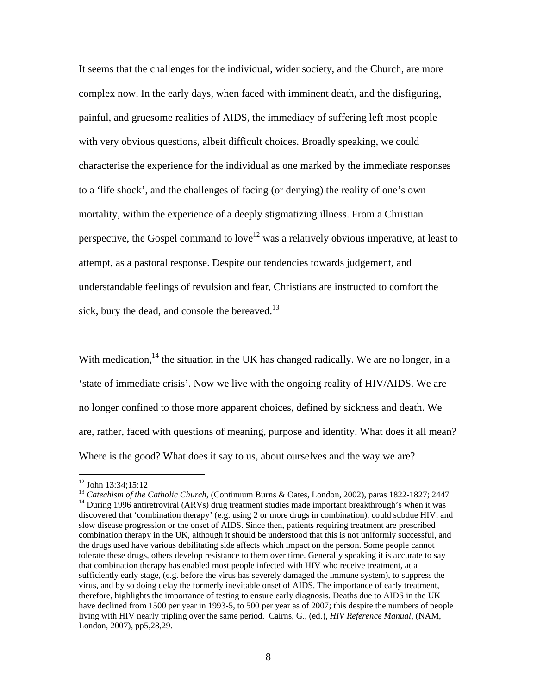It seems that the challenges for the individual, wider society, and the Church, are more complex now. In the early days, when faced with imminent death, and the disfiguring, painful, and gruesome realities of AIDS, the immediacy of suffering left most people with very obvious questions, albeit difficult choices. Broadly speaking, we could characterise the experience for the individual as one marked by the immediate responses to a 'life shock', and the challenges of facing (or denying) the reality of one's own mortality, within the experience of a deeply stigmatizing illness. From a Christian perspective, the Gospel command to love<sup>12</sup> was a relatively obvious imperative, at least to attempt, as a pastoral response. Despite our tendencies towards judgement, and understandable feelings of revulsion and fear, Christians are instructed to comfort the sick, bury the dead, and console the bereaved.<sup>13</sup>

With medication, $14$  the situation in the UK has changed radically. We are no longer, in a 'state of immediate crisis'. Now we live with the ongoing reality of HIV/AIDS. We are no longer confined to those more apparent choices, defined by sickness and death. We are, rather, faced with questions of meaning, purpose and identity. What does it all mean? Where is the good? What does it say to us, about ourselves and the way we are?

<sup>&</sup>lt;sup>12</sup> John 13:34;15:12<br><sup>13</sup> Catechism of the Catholic Church, (Continuum Burns & Oates, London, 2002), paras 1822-1827; 2447<br><sup>14</sup> During 1996 antiretroviral (ARVs) drug treatment studies made important breakthrough's when discovered that 'combination therapy' (e.g. using 2 or more drugs in combination), could subdue HIV, and slow disease progression or the onset of AIDS. Since then, patients requiring treatment are prescribed combination therapy in the UK, although it should be understood that this is not uniformly successful, and the drugs used have various debilitating side affects which impact on the person. Some people cannot tolerate these drugs, others develop resistance to them over time. Generally speaking it is accurate to say that combination therapy has enabled most people infected with HIV who receive treatment, at a sufficiently early stage, (e.g. before the virus has severely damaged the immune system), to suppress the virus, and by so doing delay the formerly inevitable onset of AIDS. The importance of early treatment, therefore, highlights the importance of testing to ensure early diagnosis. Deaths due to AIDS in the UK have declined from 1500 per year in 1993-5, to 500 per year as of 2007; this despite the numbers of people living with HIV nearly tripling over the same period. Cairns, G., (ed.), *HIV Reference Manual*, (NAM, London, 2007), pp5,28,29.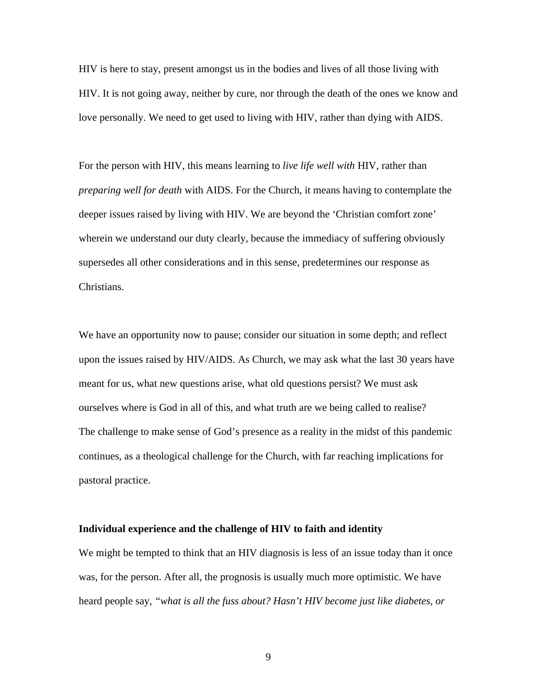HIV is here to stay, present amongst us in the bodies and lives of all those living with HIV. It is not going away, neither by cure, nor through the death of the ones we know and love personally. We need to get used to living with HIV, rather than dying with AIDS.

For the person with HIV, this means learning to *live life well with* HIV, rather than *preparing well for death* with AIDS. For the Church, it means having to contemplate the deeper issues raised by living with HIV. We are beyond the 'Christian comfort zone' wherein we understand our duty clearly, because the immediacy of suffering obviously supersedes all other considerations and in this sense, predetermines our response as Christians.

We have an opportunity now to pause; consider our situation in some depth; and reflect upon the issues raised by HIV/AIDS. As Church, we may ask what the last 30 years have meant for us, what new questions arise, what old questions persist? We must ask ourselves where is God in all of this, and what truth are we being called to realise? The challenge to make sense of God's presence as a reality in the midst of this pandemic continues, as a theological challenge for the Church, with far reaching implications for pastoral practice.

#### **Individual experience and the challenge of HIV to faith and identity**

We might be tempted to think that an HIV diagnosis is less of an issue today than it once was, for the person. After all, the prognosis is usually much more optimistic. We have heard people say, *"what is all the fuss about? Hasn't HIV become just like diabetes, or*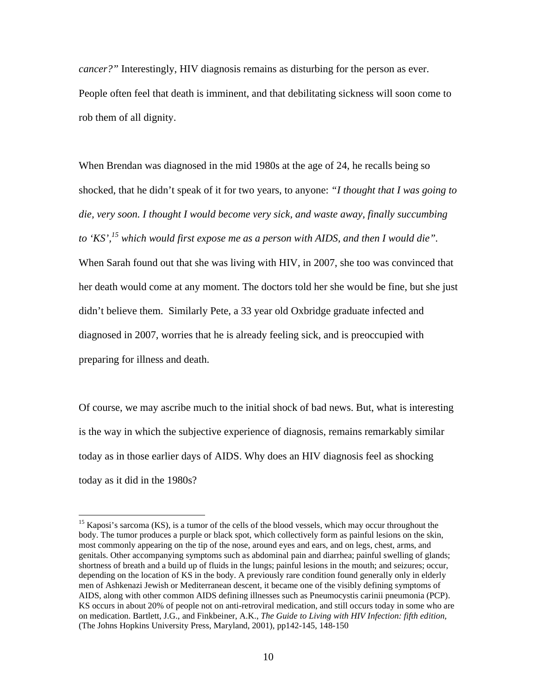*cancer?"* Interestingly, HIV diagnosis remains as disturbing for the person as ever. People often feel that death is imminent, and that debilitating sickness will soon come to rob them of all dignity.

When Brendan was diagnosed in the mid 1980s at the age of 24, he recalls being so shocked, that he didn't speak of it for two years, to anyone: *"I thought that I was going to die, very soon. I thought I would become very sick, and waste away, finally succumbing to 'KS',15 which would first expose me as a person with AIDS, and then I would die".*  When Sarah found out that she was living with HIV, in 2007, she too was convinced that her death would come at any moment. The doctors told her she would be fine, but she just didn't believe them. Similarly Pete, a 33 year old Oxbridge graduate infected and diagnosed in 2007, worries that he is already feeling sick, and is preoccupied with preparing for illness and death.

Of course, we may ascribe much to the initial shock of bad news. But, what is interesting is the way in which the subjective experience of diagnosis, remains remarkably similar today as in those earlier days of AIDS. Why does an HIV diagnosis feel as shocking today as it did in the 1980s?

<sup>&</sup>lt;sup>15</sup> Kaposi's sarcoma (KS), is a tumor of the cells of the blood vessels, which may occur throughout the body. The tumor produces a purple or black spot, which collectively form as painful lesions on the skin, most commonly appearing on the tip of the nose, around eyes and ears, and on legs, chest, arms, and genitals. Other accompanying symptoms such as abdominal pain and diarrhea; painful swelling of glands; shortness of breath and a build up of fluids in the lungs; painful lesions in the mouth; and seizures; occur, depending on the location of KS in the body. A previously rare condition found generally only in elderly men of Ashkenazi Jewish or Mediterranean descent, it became one of the visibly defining symptoms of AIDS, along with other common AIDS defining illnesses such as Pneumocystis carinii pneumonia (PCP). KS occurs in about 20% of people not on anti-retroviral medication, and still occurs today in some who are on medication. Bartlett, J.G., and Finkbeiner, A.K., *The Guide to Living with HIV Infection: fifth edition,* (The Johns Hopkins University Press, Maryland, 2001), pp142-145, 148-150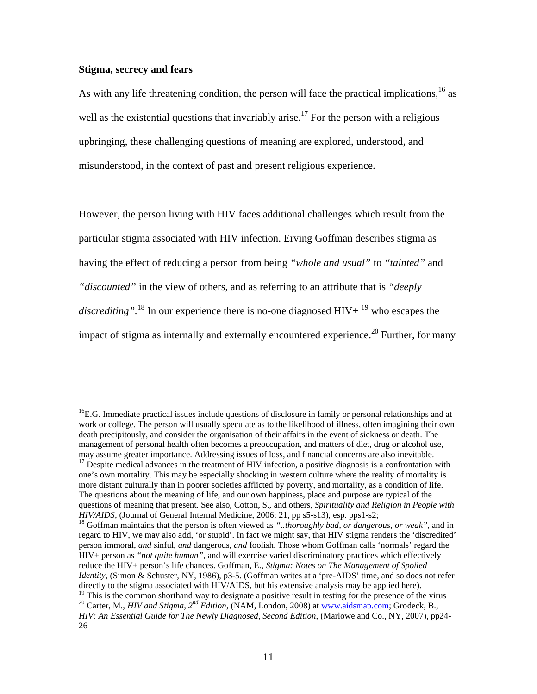### **Stigma, secrecy and fears**

 $\overline{a}$ 

As with any life threatening condition, the person will face the practical implications,  $^{16}$  as well as the existential questions that invariably arise.<sup>17</sup> For the person with a religious upbringing, these challenging questions of meaning are explored, understood, and misunderstood, in the context of past and present religious experience.

However, the person living with HIV faces additional challenges which result from the particular stigma associated with HIV infection. Erving Goffman describes stigma as having the effect of reducing a person from being *"whole and usual"* to *"tainted"* and *"discounted"* in the view of others, and as referring to an attribute that is *"deeply discrediting*".<sup>18</sup> In our experience there is no-one diagnosed  $HIV + {}^{19}$  who escapes the impact of stigma as internally and externally encountered experience.<sup>20</sup> Further, for many

 $<sup>16</sup>E.G.$  Immediate practical issues include questions of disclosure in family or personal relationships and at</sup> work or college. The person will usually speculate as to the likelihood of illness, often imagining their own death precipitously, and consider the organisation of their affairs in the event of sickness or death. The management of personal health often becomes a preoccupation, and matters of diet, drug or alcohol use, may assume greater importance. Addressing issues of loss, and financial concerns are also inevitable.

 $17$  Despite medical advances in the treatment of HIV infection, a positive diagnosis is a confrontation with one's own mortality. This may be especially shocking in western culture where the reality of mortality is more distant culturally than in poorer societies afflicted by poverty, and mortality, as a condition of life. The questions about the meaning of life, and our own happiness, place and purpose are typical of the questions of meaning that present. See also, Cotton, S., and others, *Spirituality and Religion in People with HIV/AIDS,* (Journal of General Internal Medicine, 2006: 21, pp s5-s13), esp. pps1-s2;<br><sup>18</sup> Goffman maintains that the person is often viewed as *"..thoroughly bad, or dangerous, or weak"*, and in

regard to HIV, we may also add, 'or stupid'. In fact we might say, that HIV stigma renders the 'discredited' person immoral, *and* sinful, *and* dangerous, *and* foolish. Those whom Goffman calls 'normals' regard the HIV+ person as *"not quite human",* and will exercise varied discriminatory practices which effectively reduce the HIV+ person's life chances. Goffman, E., *Stigma: Notes on The Management of Spoiled Identity*, (Simon & Schuster, NY, 1986), p3-5. (Goffman writes at a 'pre-AIDS' time, and so does not refer directly to the stigma associated with HIV/AIDS, but his extensive analysis may be applied here). <sup>19</sup> This is the common shorthand way to designate a positive result in testing for the presence of the virus <sup>20</sup> Carter, M., *HIV and Stigma, 2<sup>nd</sup> Edition*, (NAM, London, 2008) at <u>www.aidsmap.com</u>; Grodeck, B., *HIV: An Essential Guide for The Newly Diagnosed, Second Edition,* (Marlowe and Co., NY, 2007), pp24- 26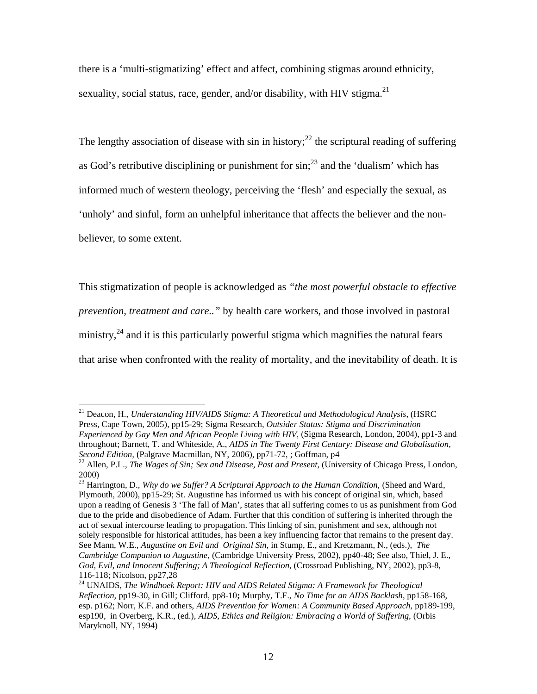there is a 'multi-stigmatizing' effect and affect, combining stigmas around ethnicity, sexuality, social status, race, gender, and/or disability, with HIV stigma.<sup>21</sup>

The lengthy association of disease with sin in history;<sup>22</sup> the scriptural reading of suffering as God's retributive disciplining or punishment for  $sin^{23}$  and the 'dualism' which has informed much of western theology, perceiving the 'flesh' and especially the sexual, as 'unholy' and sinful, form an unhelpful inheritance that affects the believer and the nonbeliever, to some extent.

This stigmatization of people is acknowledged as *"the most powerful obstacle to effective prevention, treatment and care.."* by health care workers, and those involved in pastoral ministry, $24$  and it is this particularly powerful stigma which magnifies the natural fears that arise when confronted with the reality of mortality, and the inevitability of death. It is

<sup>21</sup> Deacon, H., *Understanding HIV/AIDS Stigma: A Theoretical and Methodological Analysis*, (HSRC Press, Cape Town, 2005), pp15-29; Sigma Research, *Outsider Status: Stigma and Discrimination Experienced by Gay Men and African People Living with HIV,* (Sigma Research, London, 2004), pp1-3 and throughout; Barnett, T. and Whiteside, A., *AIDS in The Twenty First Century: Disease and Globalisation,* 

<sup>&</sup>lt;sup>22</sup> Allen, P.L., *The Wages of Sin; Sex and Disease, Past and Present*, (University of Chicago Press, London, 2000)

<sup>23</sup> Harrington, D., *Why do we Suffer? A Scriptural Approach to the Human Condition,* (Sheed and Ward, Plymouth, 2000), pp15-29; St. Augustine has informed us with his concept of original sin, which, based upon a reading of Genesis 3 'The fall of Man', states that all suffering comes to us as punishment from God due to the pride and disobedience of Adam. Further that this condition of suffering is inherited through the act of sexual intercourse leading to propagation. This linking of sin, punishment and sex, although not solely responsible for historical attitudes, has been a key influencing factor that remains to the present day. See Mann, W.E., *Augustine on Evil and Original Sin,* in Stump, E., and Kretzmann, N., (eds.), *The Cambridge Companion to Augustine*, (Cambridge University Press, 2002), pp40-48; See also, Thiel, J. E., *God, Evil, and Innocent Suffering; A Theological Reflection*, (Crossroad Publishing, NY, 2002), pp3-8, 116-118; Nicolson, pp27,28

<sup>&</sup>lt;sup>24</sup> UNAIDS, *The Windhoek Report: HIV and AIDS Related Stigma: A Framework for Theological Reflection,* pp19-30, in Gill; Clifford, pp8-10**;** Murphy, T.F., *No Time for an AIDS Backlash*, pp158-168, esp. p162; Norr, K.F. and others, *AIDS Prevention for Women: A Community Based Approach,* pp189-199, esp190, in Overberg, K.R., (ed.), *AIDS, Ethics and Religion: Embracing a World of Suffering,* (Orbis Maryknoll, NY, 1994)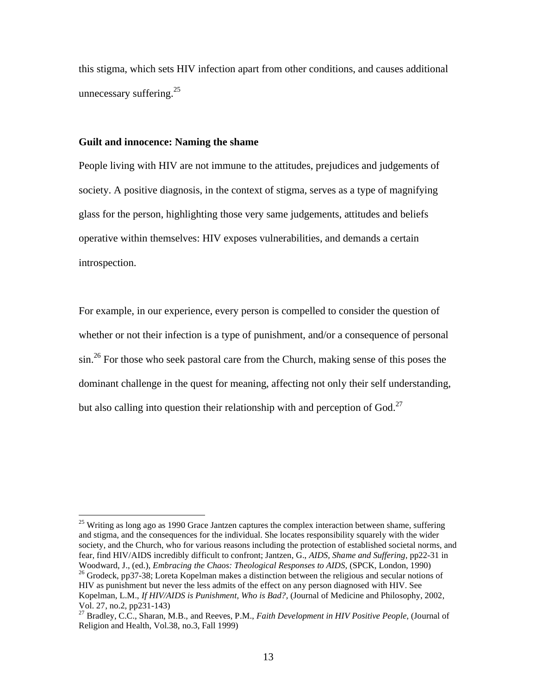this stigma, which sets HIV infection apart from other conditions, and causes additional unnecessary suffering. $25$ 

### **Guilt and innocence: Naming the shame**

 $\overline{a}$ 

People living with HIV are not immune to the attitudes, prejudices and judgements of society. A positive diagnosis, in the context of stigma, serves as a type of magnifying glass for the person, highlighting those very same judgements, attitudes and beliefs operative within themselves: HIV exposes vulnerabilities, and demands a certain introspection.

For example, in our experience, every person is compelled to consider the question of whether or not their infection is a type of punishment, and/or a consequence of personal sin.<sup>26</sup> For those who seek pastoral care from the Church, making sense of this poses the dominant challenge in the quest for meaning, affecting not only their self understanding, but also calling into question their relationship with and perception of God.<sup>27</sup>

 $25$  Writing as long ago as 1990 Grace Jantzen captures the complex interaction between shame, suffering and stigma, and the consequences for the individual. She locates responsibility squarely with the wider society, and the Church, who for various reasons including the protection of established societal norms, and fear, find HIV/AIDS incredibly difficult to confront; Jantzen, G., *AIDS, Shame and Suffering*, pp22-31 in

Woodward, J., (ed.), *Embracing the Chaos: Theological Responses to AIDS*, (SPCK, London, 1990)<sup>26</sup> Grodeck, pp37-38; Loreta Kopelman makes a distinction between the religious and secular notions of HIV as punishment but never the less admits of the effect on any person diagnosed with HIV. See Kopelman, L.M., *If HIV/AIDS is Punishment, Who is Bad?,* (Journal of Medicine and Philosophy, 2002, Vol. 27, no.2, pp231-143)

<sup>27</sup> Bradley, C.C., Sharan, M.B., and Reeves, P.M., *Faith Development in HIV Positive People*, (Journal of Religion and Health, Vol.38, no.3, Fall 1999)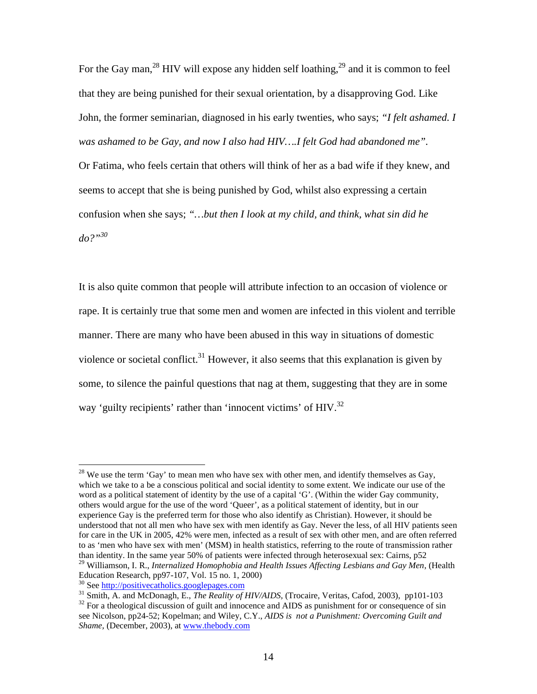For the Gay man,<sup>28</sup> HIV will expose any hidden self loathing,<sup>29</sup> and it is common to feel that they are being punished for their sexual orientation, by a disapproving God. Like John, the former seminarian, diagnosed in his early twenties, who says; *"I felt ashamed. I was ashamed to be Gay, and now I also had HIV….I felt God had abandoned me".* 

Or Fatima, who feels certain that others will think of her as a bad wife if they knew, and seems to accept that she is being punished by God, whilst also expressing a certain confusion when she says; *"…but then I look at my child, and think, what sin did he do?"<sup>30</sup>*

It is also quite common that people will attribute infection to an occasion of violence or rape. It is certainly true that some men and women are infected in this violent and terrible manner. There are many who have been abused in this way in situations of domestic violence or societal conflict.<sup>31</sup> However, it also seems that this explanation is given by some, to silence the painful questions that nag at them, suggesting that they are in some way 'guilty recipients' rather than 'innocent victims' of HIV.<sup>32</sup>

<sup>&</sup>lt;sup>28</sup> We use the term 'Gay' to mean men who have sex with other men, and identify themselves as Gay, which we take to a be a conscious political and social identity to some extent. We indicate our use of the word as a political statement of identity by the use of a capital 'G'. (Within the wider Gay community, others would argue for the use of the word 'Queer', as a political statement of identity, but in our experience Gay is the preferred term for those who also identify as Christian). However, it should be understood that not all men who have sex with men identify as Gay. Never the less, of all HIV patients seen for care in the UK in 2005, 42% were men, infected as a result of sex with other men, and are often referred to as 'men who have sex with men' (MSM) in health statistics, referring to the route of transmission rather than identity. In the same year 50% of patients were infected through heterosexual sex: Cairns, p52 <sup>29</sup> Williamson, I. R., *Internalized Homophobia and Health Issues Affecting Lesbians and Gay Men*, (Health

Education Research, pp97-107, Vol. 15 no. 1, 2000)<br><sup>30</sup> See http://positivecatholics.googlepages.com

<sup>&</sup>lt;sup>31</sup> Smith, A. and McDonagh, E., *The Reality of HIV/AIDS*, (Trocaire, Veritas, Cafod, 2003), pp101-103<br><sup>32</sup> For a theological discussion of guilt and innocence and AIDS as punishment for or consequence of sin see Nicolson, pp24-52; Kopelman; and Wiley, C.Y., *AIDS is not a Punishment: Overcoming Guilt and Shame,* (December, 2003), at www.thebody.com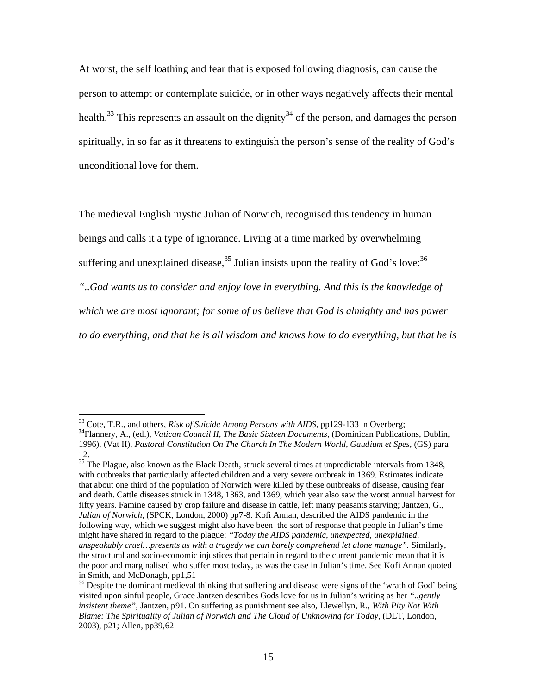At worst, the self loathing and fear that is exposed following diagnosis, can cause the person to attempt or contemplate suicide, or in other ways negatively affects their mental health.<sup>33</sup> This represents an assault on the dignity<sup>34</sup> of the person, and damages the person spiritually, in so far as it threatens to extinguish the person's sense of the reality of God's unconditional love for them.

The medieval English mystic Julian of Norwich, recognised this tendency in human beings and calls it a type of ignorance. Living at a time marked by overwhelming suffering and unexplained disease,<sup>35</sup> Julian insists upon the reality of God's love:<sup>36</sup>

*"..God wants us to consider and enjoy love in everything. And this is the knowledge of* 

*which we are most ignorant; for some of us believe that God is almighty and has power* 

*to do everything, and that he is all wisdom and knows how to do everything, but that he is* 

 $\overline{a}$ 

 $35$  The Plague, also known as the Black Death, struck several times at unpredictable intervals from 1348, with outbreaks that particularly affected children and a very severe outbreak in 1369. Estimates indicate that about one third of the population of Norwich were killed by these outbreaks of disease, causing fear and death. Cattle diseases struck in 1348, 1363, and 1369, which year also saw the worst annual harvest for fifty years. Famine caused by crop failure and disease in cattle, left many peasants starving; Jantzen, G., *Julian of Norwich*, (SPCK, London, 2000) pp7-8. Kofi Annan, described the AIDS pandemic in the following way, which we suggest might also have been the sort of response that people in Julian's time might have shared in regard to the plague: *"Today the AIDS pandemic, unexpected, unexplained, unspeakably cruel…presents us with a tragedy we can barely comprehend let alone manage".* Similarly, the structural and socio-economic injustices that pertain in regard to the current pandemic mean that it is the poor and marginalised who suffer most today, as was the case in Julian's time. See Kofi Annan quoted in Smith, and McDonagh, pp1,51

<sup>&</sup>lt;sup>33</sup> Cote, T.R., and others, *Risk of Suicide Among Persons with AIDS*, pp129-133 in Overberg; **<sup>34</sup>**Flannery, A., (ed.), *Vatican Council II, The Basic Sixteen Documents,* (Dominican Publications, Dublin, 1996), (Vat II), *Pastoral Constitution On The Church In The Modern World, Gaudium et Spes,* (GS) para 12.

<sup>&</sup>lt;sup>36</sup> Despite the dominant medieval thinking that suffering and disease were signs of the 'wrath of God' being visited upon sinful people, Grace Jantzen describes Gods love for us in Julian's writing as her *"..gently insistent theme",* Jantzen, p91. On suffering as punishment see also, Llewellyn, R., *With Pity Not With Blame: The Spirituality of Julian of Norwich and The Cloud of Unknowing for Today, (DLT, London,* 2003), p21; Allen, pp39,62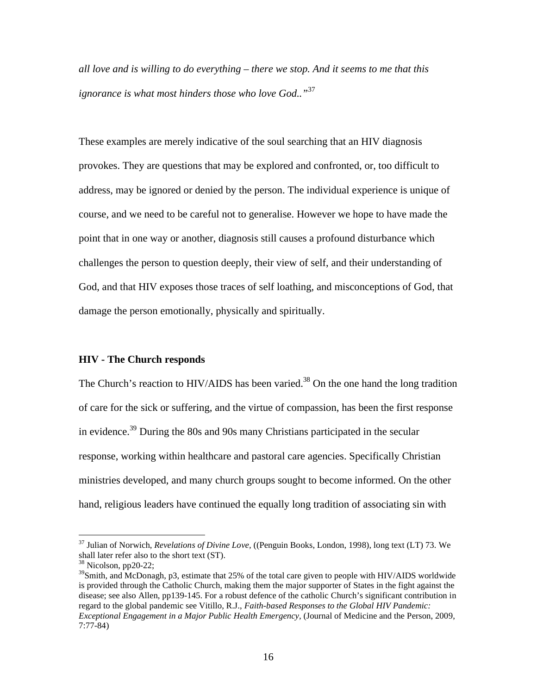*all love and is willing to do everything – there we stop. And it seems to me that this ignorance is what most hinders those who love God.."*<sup>37</sup>

These examples are merely indicative of the soul searching that an HIV diagnosis provokes. They are questions that may be explored and confronted, or, too difficult to address, may be ignored or denied by the person. The individual experience is unique of course, and we need to be careful not to generalise. However we hope to have made the point that in one way or another, diagnosis still causes a profound disturbance which challenges the person to question deeply, their view of self, and their understanding of God, and that HIV exposes those traces of self loathing, and misconceptions of God, that damage the person emotionally, physically and spiritually.

#### **HIV - The Church responds**

The Church's reaction to HIV/AIDS has been varied.<sup>38</sup> On the one hand the long tradition of care for the sick or suffering, and the virtue of compassion, has been the first response in evidence.<sup>39</sup> During the 80s and 90s many Christians participated in the secular response, working within healthcare and pastoral care agencies. Specifically Christian ministries developed, and many church groups sought to become informed. On the other hand, religious leaders have continued the equally long tradition of associating sin with

<sup>37</sup> Julian of Norwich, *Revelations of Divine Love,* ((Penguin Books, London, 1998), long text (LT) 73. We shall later refer also to the short text (ST).

 $38$  Nicolson, pp20-22;

<sup>&</sup>lt;sup>39</sup>Smith, and McDonagh, p3, estimate that 25% of the total care given to people with HIV/AIDS worldwide is provided through the Catholic Church, making them the major supporter of States in the fight against the disease; see also Allen, pp139-145. For a robust defence of the catholic Church's significant contribution in regard to the global pandemic see Vitillo, R.J., *Faith-based Responses to the Global HIV Pandemic: Exceptional Engagement in a Major Public Health Emergency,* (Journal of Medicine and the Person, 2009, 7:77-84)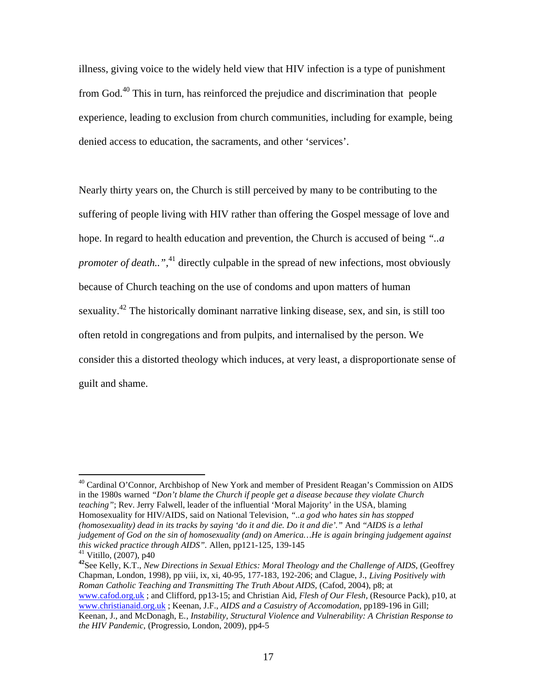illness, giving voice to the widely held view that HIV infection is a type of punishment from God.<sup>40</sup> This in turn, has reinforced the prejudice and discrimination that people experience, leading to exclusion from church communities, including for example, being denied access to education, the sacraments, and other 'services'.

Nearly thirty years on, the Church is still perceived by many to be contributing to the suffering of people living with HIV rather than offering the Gospel message of love and hope. In regard to health education and prevention, the Church is accused of being *"..a promoter of death...*<sup>41</sup> directly culpable in the spread of new infections, most obviously because of Church teaching on the use of condoms and upon matters of human sexuality.<sup>42</sup> The historically dominant narrative linking disease, sex, and sin, is still too often retold in congregations and from pulpits, and internalised by the person. We consider this a distorted theology which induces, at very least, a disproportionate sense of guilt and shame.

 $\overline{a}$ 

<sup>41</sup> Vitillo, (2007), p40<br><sup>42</sup>See Kelly, K.T., *New Directions in Sexual Ethics: Moral Theology and the Challenge of AIDS*, (Geoffrey Chapman, London, 1998), pp viii, ix, xi, 40-95, 177-183, 192-206; and Clague, J., *Living Positively with Roman Catholic Teaching and Transmitting The Truth About AIDS, (Cafod, 2004), p8; at* www.cafod.org.uk ; and Clifford, pp13-15; and Christian Aid, *Flesh of Our Flesh*, (Resource Pack), p10, at www.christianaid.org.uk ; Keenan, J.F., *AIDS and a Casuistry of Accomodation*, pp189-196 in Gill; Keenan, J., and McDonagh, E., *Instability, Structural Violence and Vulnerability: A Christian Response to the HIV Pandemic,* (Progressio, London, 2009), pp4-5

<sup>&</sup>lt;sup>40</sup> Cardinal O'Connor, Archbishop of New York and member of President Reagan's Commission on AIDS in the 1980s warned *"Don't blame the Church if people get a disease because they violate Church teaching"*; Rev. Jerry Falwell, leader of the influential 'Moral Majority' in the USA, blaming Homosexuality for HIV/AIDS, said on National Television, *"..a god who hates sin has stopped (homosexuality) dead in its tracks by saying 'do it and die. Do it and die'."* And *"AIDS is a lethal judgement of God on the sin of homosexuality (and) on America…He is again bringing judgement against*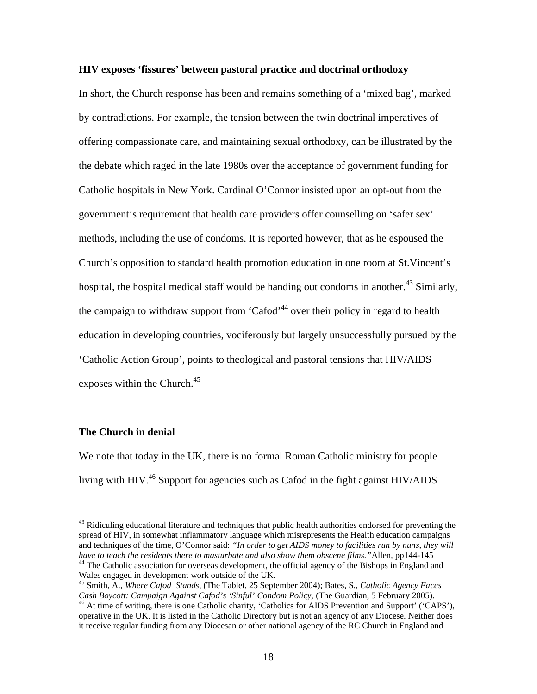### **HIV exposes 'fissures' between pastoral practice and doctrinal orthodoxy**

In short, the Church response has been and remains something of a 'mixed bag', marked by contradictions. For example, the tension between the twin doctrinal imperatives of offering compassionate care, and maintaining sexual orthodoxy, can be illustrated by the the debate which raged in the late 1980s over the acceptance of government funding for Catholic hospitals in New York. Cardinal O'Connor insisted upon an opt-out from the government's requirement that health care providers offer counselling on 'safer sex' methods, including the use of condoms. It is reported however, that as he espoused the Church's opposition to standard health promotion education in one room at St.Vincent's hospital, the hospital medical staff would be handing out condoms in another.<sup>43</sup> Similarly, the campaign to withdraw support from 'Cafod'<sup>44</sup> over their policy in regard to health education in developing countries, vociferously but largely unsuccessfully pursued by the 'Catholic Action Group', points to theological and pastoral tensions that HIV/AIDS exposes within the Church. $45$ 

### **The Church in denial**

 $\overline{a}$ 

We note that today in the UK, there is no formal Roman Catholic ministry for people living with HIV.<sup>46</sup> Support for agencies such as Cafod in the fight against HIV/AIDS

 $43$  Ridiculing educational literature and techniques that public health authorities endorsed for preventing the spread of HIV, in somewhat inflammatory language which misrepresents the Health education campaigns and techniques of the time, O'Connor said: *"In order to get AIDS money to facilities run by nuns, they will have to teach the residents there to masturbate and also show them obscene films.* "Allen, pp144-145 <sup>44</sup> The Catholic association for overseas development, the official agency of the Bishops in England and

Wales engaged in development work outside of the UK.

<sup>45</sup> Smith, A., *Where Cafod Stands*, (The Tablet, 25 September 2004); Bates, S., *Catholic Agency Faces Cash Boycott: Campaign Against Cafod's 'Sinful' Condom Policy, (The Guardian, 5 February 2005).* <sup>46</sup> At time of writing, there is one Catholic charity, 'Catholics for AIDS Prevention and Support' ('CAPS'),

operative in the UK. It is listed in the Catholic Directory but is not an agency of any Diocese. Neither does it receive regular funding from any Diocesan or other national agency of the RC Church in England and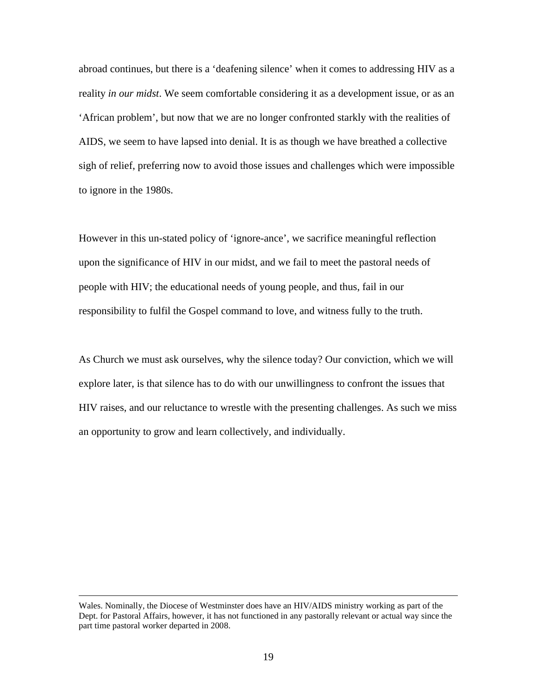abroad continues, but there is a 'deafening silence' when it comes to addressing HIV as a reality *in our midst*. We seem comfortable considering it as a development issue, or as an 'African problem', but now that we are no longer confronted starkly with the realities of AIDS, we seem to have lapsed into denial. It is as though we have breathed a collective sigh of relief, preferring now to avoid those issues and challenges which were impossible to ignore in the 1980s.

However in this un-stated policy of 'ignore-ance', we sacrifice meaningful reflection upon the significance of HIV in our midst, and we fail to meet the pastoral needs of people with HIV; the educational needs of young people, and thus, fail in our responsibility to fulfil the Gospel command to love, and witness fully to the truth.

As Church we must ask ourselves, why the silence today? Our conviction, which we will explore later, is that silence has to do with our unwillingness to confront the issues that HIV raises, and our reluctance to wrestle with the presenting challenges. As such we miss an opportunity to grow and learn collectively, and individually.

1

Wales. Nominally, the Diocese of Westminster does have an HIV/AIDS ministry working as part of the Dept. for Pastoral Affairs, however, it has not functioned in any pastorally relevant or actual way since the part time pastoral worker departed in 2008.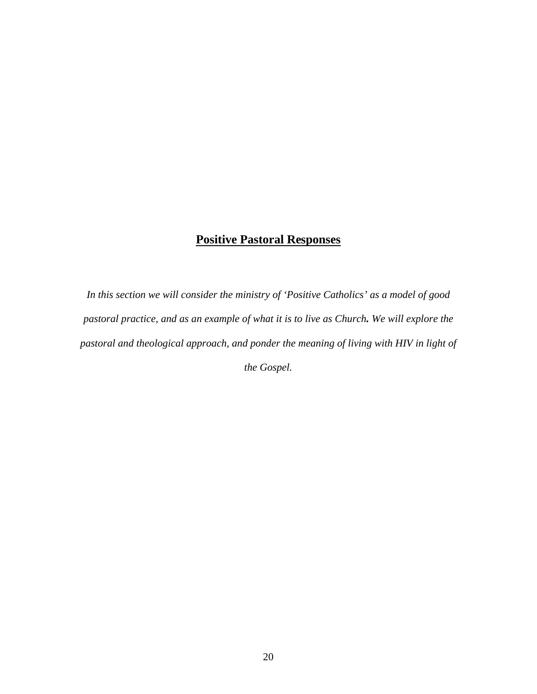# **Positive Pastoral Responses**

*In this section we will consider the ministry of 'Positive Catholics' as a model of good pastoral practice, and as an example of what it is to live as Church. We will explore the pastoral and theological approach, and ponder the meaning of living with HIV in light of the Gospel.*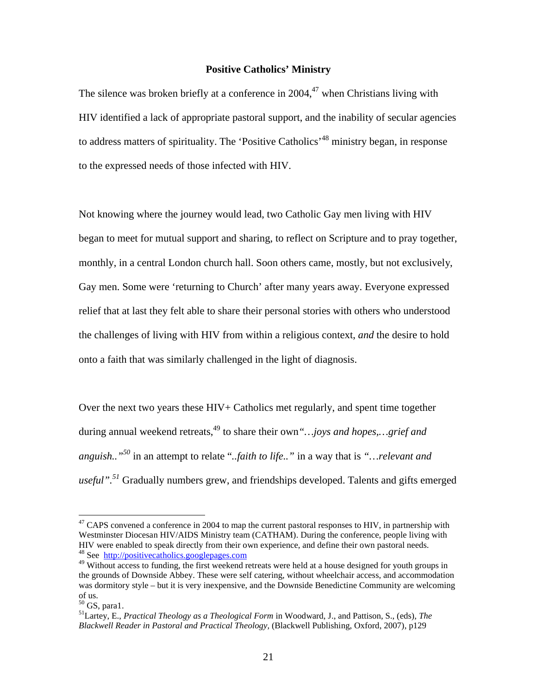### **Positive Catholics' Ministry**

The silence was broken briefly at a conference in  $2004<sup>47</sup>$  when Christians living with HIV identified a lack of appropriate pastoral support, and the inability of secular agencies to address matters of spirituality. The 'Positive Catholics'<sup>48</sup> ministry began, in response to the expressed needs of those infected with HIV.

Not knowing where the journey would lead, two Catholic Gay men living with HIV began to meet for mutual support and sharing, to reflect on Scripture and to pray together, monthly, in a central London church hall. Soon others came, mostly, but not exclusively, Gay men. Some were 'returning to Church' after many years away. Everyone expressed relief that at last they felt able to share their personal stories with others who understood the challenges of living with HIV from within a religious context, *and* the desire to hold onto a faith that was similarly challenged in the light of diagnosis.

Over the next two years these HIV+ Catholics met regularly, and spent time together during annual weekend retreats,<sup>49</sup> to share their own "... joys and hopes,... grief and *anguish.."50* in an attempt to relate "*..faith to life.."* in a way that is *"…relevant and useful".<sup>51</sup>* Gradually numbers grew, and friendships developed. Talents and gifts emerged

 $47$  CAPS convened a conference in 2004 to map the current pastoral responses to HIV, in partnership with Westminster Diocesan HIV/AIDS Ministry team (CATHAM). During the conference, people living with HIV were enabled to speak directly from their own experience, and define their own pastoral needs.<br><sup>48</sup> See http://positivecatholics.googlepages.com

<sup>&</sup>lt;sup>49</sup> Without access to funding, the first weekend retreats were held at a house designed for youth groups in the grounds of Downside Abbey. These were self catering, without wheelchair access, and accommodation was dormitory style – but it is very inexpensive, and the Downside Benedictine Community are welcoming of us.<br> $50$  GS, para1.

<sup>&</sup>lt;sup>51</sup> Lartey, E., *Practical Theology as a Theological Form* in Woodward, J., and Pattison, S., (eds), *The Blackwell Reader in Pastoral and Practical Theology,* (Blackwell Publishing, Oxford, 2007), p129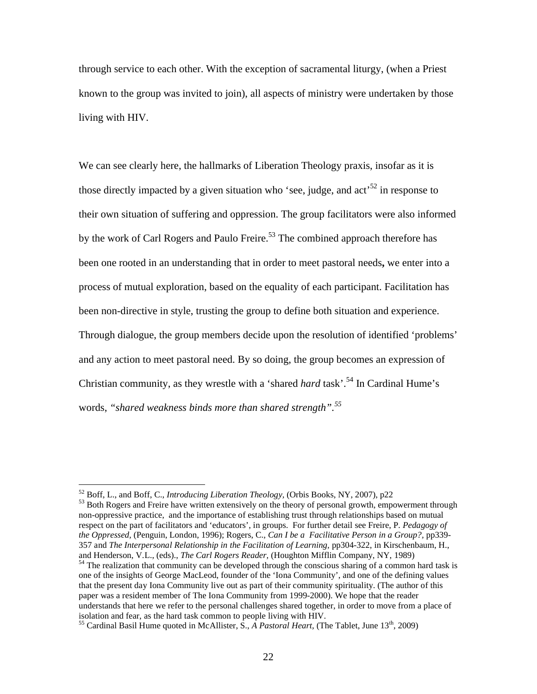through service to each other. With the exception of sacramental liturgy, (when a Priest known to the group was invited to join), all aspects of ministry were undertaken by those living with HIV.

We can see clearly here, the hallmarks of Liberation Theology praxis, insofar as it is those directly impacted by a given situation who 'see, judge, and act<sup>52</sup> in response to their own situation of suffering and oppression. The group facilitators were also informed by the work of Carl Rogers and Paulo Freire.<sup>53</sup> The combined approach therefore has been one rooted in an understanding that in order to meet pastoral needs**,** we enter into a process of mutual exploration, based on the equality of each participant. Facilitation has been non-directive in style, trusting the group to define both situation and experience. Through dialogue, the group members decide upon the resolution of identified 'problems' and any action to meet pastoral need. By so doing, the group becomes an expression of Christian community, as they wrestle with a 'shared *hard* task'.<sup>54</sup> In Cardinal Hume's words, *"shared weakness binds more than shared strength".55*

 $\overline{a}$ 

non-oppressive practice, and the importance of establishing trust through relationships based on mutual respect on the part of facilitators and 'educators', in groups. For further detail see Freire, P*. Pedagogy of the Oppressed,* (Penguin, London, 1996); Rogers, C., *Can I be a Facilitative Person in a Group?,* pp339- 357 and *The Interpersonal Relationship in the Facilitation of Learning, pp304-322, in Kirschenbaum, H., and Henderson, V.L., (eds)., The Carl Rogers Reader, (Houghton Mifflin Company, NY, 1989)* 

<sup>&</sup>lt;sup>52</sup> Boff, L., and Boff, C., *Introducing Liberation Theology*, (Orbis Books, NY, 2007), p22<br><sup>53</sup> Both Rogers and Freire have written extensively on the theory of personal growth, empowerment through

<sup>&</sup>lt;sup>54</sup> The realization that community can be developed through the conscious sharing of a common hard task is one of the insights of George MacLeod, founder of the 'Iona Community', and one of the defining values that the present day Iona Community live out as part of their community spirituality. (The author of this paper was a resident member of The Iona Community from 1999-2000). We hope that the reader understands that here we refer to the personal challenges shared together, in order to move from a place of isolation and fear, as the hard task common to people living with HIV.

<sup>&</sup>lt;sup>55</sup> Cardinal Basil Hume quoted in McAllister, S., *A Pastoral Heart*, (The Tablet, June 13<sup>th</sup>, 2009)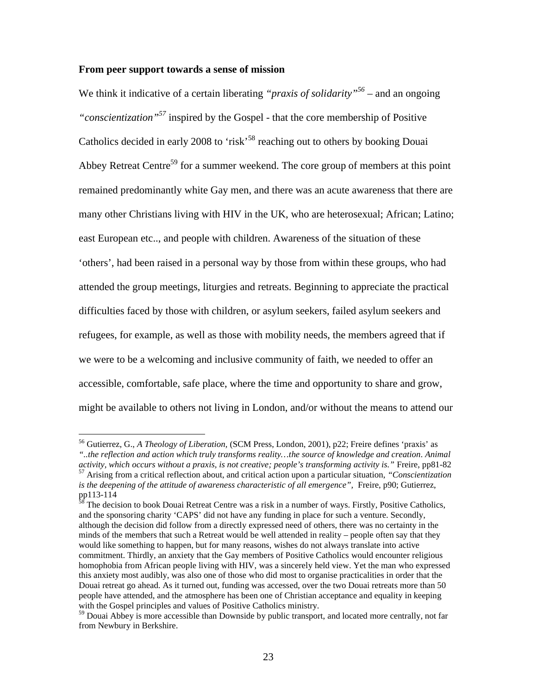### **From peer support towards a sense of mission**

 $\overline{a}$ 

We think it indicative of a certain liberating *"praxis of solidarity*"<sup>56</sup> – and an ongoing *"conscientization"57* inspired by the Gospel - that the core membership of Positive Catholics decided in early 2008 to 'risk'<sup>58</sup> reaching out to others by booking Douai Abbey Retreat Centre<sup>59</sup> for a summer weekend. The core group of members at this point remained predominantly white Gay men, and there was an acute awareness that there are many other Christians living with HIV in the UK, who are heterosexual; African; Latino; east European etc.., and people with children. Awareness of the situation of these 'others', had been raised in a personal way by those from within these groups, who had attended the group meetings, liturgies and retreats. Beginning to appreciate the practical difficulties faced by those with children, or asylum seekers, failed asylum seekers and refugees, for example, as well as those with mobility needs, the members agreed that if we were to be a welcoming and inclusive community of faith, we needed to offer an accessible, comfortable, safe place, where the time and opportunity to share and grow, might be available to others not living in London, and/or without the means to attend our

<sup>56</sup> Gutierrez, G., *A Theology of Liberation,* (SCM Press, London, 2001), p22; Freire defines 'praxis' as *"..the reflection and action which truly transforms reality…the source of knowledge and creation. Animal*  activity, which occurs without a praxis, is not creative; people's transforming activity is." Freire, pp81-82<br><sup>57</sup> Arising from a critical reflection about, and critical action upon a particular situation, "Conscientizatio is the deepening of the attitude of awareness characteristic of all emergence", Freire, p90; Gutierrez, pp113-114

<sup>&</sup>lt;sup>38</sup> The decision to book Douai Retreat Centre was a risk in a number of ways. Firstly, Positive Catholics, and the sponsoring charity 'CAPS' did not have any funding in place for such a venture. Secondly, although the decision did follow from a directly expressed need of others, there was no certainty in the minds of the members that such a Retreat would be well attended in reality – people often say that they would like something to happen, but for many reasons, wishes do not always translate into active commitment. Thirdly, an anxiety that the Gay members of Positive Catholics would encounter religious homophobia from African people living with HIV, was a sincerely held view. Yet the man who expressed this anxiety most audibly, was also one of those who did most to organise practicalities in order that the Douai retreat go ahead. As it turned out, funding was accessed, over the two Douai retreats more than 50 people have attended, and the atmosphere has been one of Christian acceptance and equality in keeping with the Gospel principles and values of Positive Catholics ministry.

<sup>&</sup>lt;sup>59</sup> Douai Abbey is more accessible than Downside by public transport, and located more centrally, not far from Newbury in Berkshire.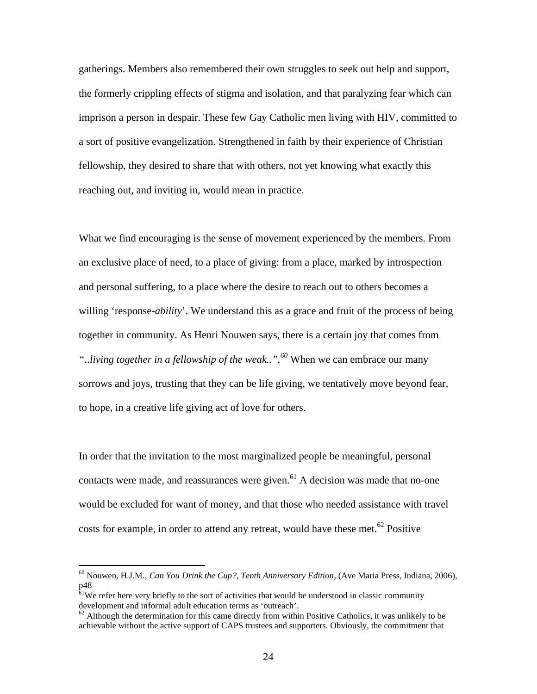gatherings. Members also remembered their own struggles to seek out help and support, the formerly crippling effects of stigma and isolation, and that paralyzing fear which can imprison a person in despair. These few Gay Catholic men living with HIV, committed to a sort of positive evangelization. Strengthened in faith by their experience of Christian fellowship, they desired to share that with others, not yet knowing what exactly this reaching out, and inviting in, would mean in practice.

What we find encouraging is the sense of movement experienced by the members. From an exclusive place of need, to a place of giving: from a place, marked by introspection and personal suffering, to a place where the desire to reach out to others becomes a willing 'response-*ability*'. We understand this as a grace and fruit of the process of being together in community. As Henri Nouwen says, there is a certain joy that comes from *"..living together in a fellowship of the weak..".<sup>60</sup>* When we can embrace our many sorrows and joys, trusting that they can be life giving, we tentatively move beyond fear, to hope, in a creative life giving act of love for others.

In order that the invitation to the most marginalized people be meaningful, personal contacts were made, and reassurances were given.<sup>61</sup> A decision was made that no-one would be excluded for want of money, and that those who needed assistance with travel costs for example, in order to attend any retreat, would have these met. $62$  Positive

<sup>60</sup> Nouwen, H.J.M., *Can You Drink the Cup?, Tenth Anniversary Edition*, (Ave Maria Press, Indiana, 2006), p48

 $61$ We refer here very briefly to the sort of activities that would be understood in classic community development and informal adult education terms as 'outreach'.

 $62$  Although the determination for this came directly from within Positive Catholics, it was unlikely to be achievable without the active support of CAPS trustees and supporters. Obviously, the commitment that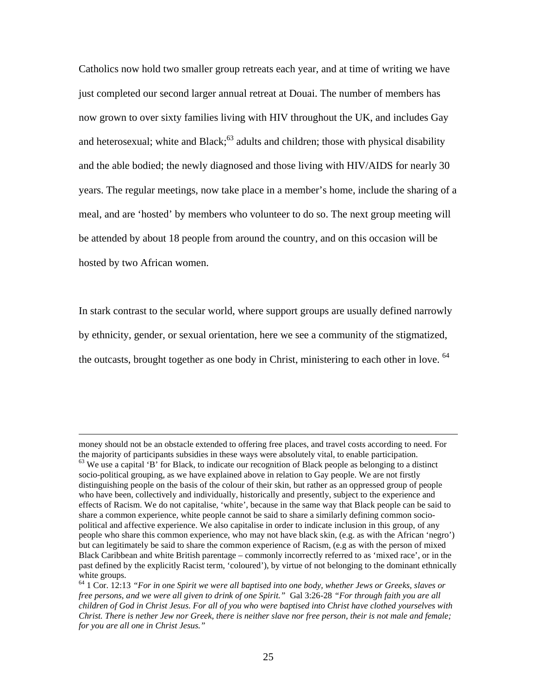Catholics now hold two smaller group retreats each year, and at time of writing we have just completed our second larger annual retreat at Douai. The number of members has now grown to over sixty families living with HIV throughout the UK, and includes Gay and heterosexual; white and  $Black; ^{63}$  adults and children; those with physical disability and the able bodied; the newly diagnosed and those living with HIV/AIDS for nearly 30 years. The regular meetings, now take place in a member's home, include the sharing of a meal, and are 'hosted' by members who volunteer to do so. The next group meeting will be attended by about 18 people from around the country, and on this occasion will be hosted by two African women.

In stark contrast to the secular world, where support groups are usually defined narrowly by ethnicity, gender, or sexual orientation, here we see a community of the stigmatized, the outcasts, brought together as one body in Christ, ministering to each other in love.  $64$ 

1

money should not be an obstacle extended to offering free places, and travel costs according to need. For the majority of participants subsidies in these ways were absolutely vital, to enable participation.

<sup>&</sup>lt;sup>63</sup> We use a capital 'B' for Black, to indicate our recognition of Black people as belonging to a distinct socio-political grouping, as we have explained above in relation to Gay people. We are not firstly distinguishing people on the basis of the colour of their skin, but rather as an oppressed group of people who have been, collectively and individually, historically and presently, subject to the experience and effects of Racism. We do not capitalise, 'white', because in the same way that Black people can be said to share a common experience, white people cannot be said to share a similarly defining common sociopolitical and affective experience. We also capitalise in order to indicate inclusion in this group, of any people who share this common experience, who may not have black skin, (e.g. as with the African 'negro') but can legitimately be said to share the common experience of Racism, (e.g as with the person of mixed Black Caribbean and white British parentage – commonly incorrectly referred to as 'mixed race', or in the past defined by the explicitly Racist term, 'coloured'), by virtue of not belonging to the dominant ethnically white groups.

<sup>64</sup> 1 Cor. 12:13 *"For in one Spirit we were all baptised into one body, whether Jews or Greeks, slaves or free persons, and we were all given to drink of one Spirit."* Gal 3:26-28 *"For through faith you are all children of God in Christ Jesus. For all of you who were baptised into Christ have clothed yourselves with Christ. There is nether Jew nor Greek, there is neither slave nor free person, their is not male and female; for you are all one in Christ Jesus."*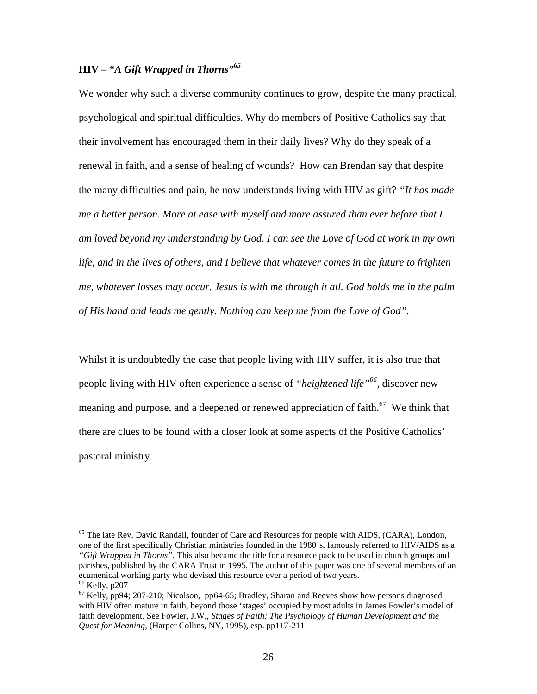### **HIV –** *"A Gift Wrapped in Thorns"65*

We wonder why such a diverse community continues to grow, despite the many practical, psychological and spiritual difficulties. Why do members of Positive Catholics say that their involvement has encouraged them in their daily lives? Why do they speak of a renewal in faith, and a sense of healing of wounds? How can Brendan say that despite the many difficulties and pain, he now understands living with HIV as gift? *"It has made me a better person. More at ease with myself and more assured than ever before that I am loved beyond my understanding by God. I can see the Love of God at work in my own life, and in the lives of others, and I believe that whatever comes in the future to frighten me, whatever losses may occur, Jesus is with me through it all. God holds me in the palm of His hand and leads me gently. Nothing can keep me from the Love of God".*

Whilst it is undoubtedly the case that people living with HIV suffer, it is also true that people living with HIV often experience a sense of *"heightened life"66,* discover new meaning and purpose, and a deepened or renewed appreciation of faith.<sup>67</sup> We think that there are clues to be found with a closer look at some aspects of the Positive Catholics' pastoral ministry.

 $<sup>65</sup>$  The late Rev. David Randall, founder of Care and Resources for people with AIDS, (CARA), London,</sup> one of the first specifically Christian ministries founded in the 1980's, famously referred to HIV/AIDS as a *"Gift Wrapped in Thorns".* This also became the title for a resource pack to be used in church groups and parishes, published by the CARA Trust in 1995. The author of this paper was one of several members of an ecumenical working party who devised this resource over a period of two years.<br><sup>66</sup> Kelly, p207

 $^{67}$  Kelly, pp94; 207-210; Nicolson, pp64-65; Bradley, Sharan and Reeves show how persons diagnosed with HIV often mature in faith, beyond those 'stages' occupied by most adults in James Fowler's model of faith development. See Fowler, J.W., *Stages of Faith: The Psychology of Human Development and the Quest for Meaning*, (Harper Collins, NY, 1995), esp. pp117-211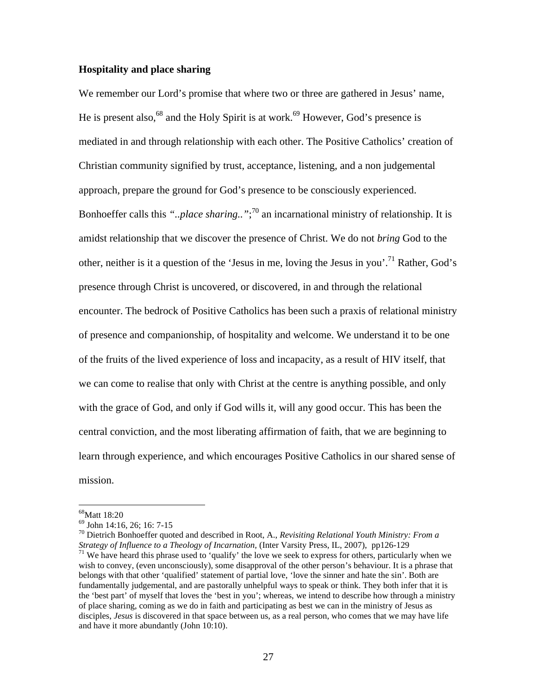### **Hospitality and place sharing**

We remember our Lord's promise that where two or three are gathered in Jesus' name, He is present also,<sup>68</sup> and the Holy Spirit is at work.<sup>69</sup> However, God's presence is mediated in and through relationship with each other. The Positive Catholics' creation of Christian community signified by trust, acceptance, listening, and a non judgemental approach, prepare the ground for God's presence to be consciously experienced. Bonhoeffer calls this *"..place sharing.."*; <sup>70</sup> an incarnational ministry of relationship. It is amidst relationship that we discover the presence of Christ. We do not *bring* God to the other, neither is it a question of the 'Jesus in me, loving the Jesus in you'.<sup>71</sup> Rather, God's presence through Christ is uncovered, or discovered, in and through the relational encounter. The bedrock of Positive Catholics has been such a praxis of relational ministry of presence and companionship, of hospitality and welcome. We understand it to be one of the fruits of the lived experience of loss and incapacity, as a result of HIV itself, that we can come to realise that only with Christ at the centre is anything possible, and only with the grace of God, and only if God wills it, will any good occur. This has been the central conviction, and the most liberating affirmation of faith, that we are beginning to learn through experience, and which encourages Positive Catholics in our shared sense of mission.

 $^{68}$ Matt 18:20<br> $^{69}$  John 14:16, 26; 16: 7-15

<sup>&</sup>lt;sup>70</sup> Dietrich Bonhoeffer quoted and described in Root, A., *Revisiting Relational Youth Ministry: From a Strategy of Influence to a Theology of Incarnation, (Inter Varsity Press, IL, 2007), pp126-129* 

<sup>&</sup>lt;sup>71</sup> We have heard this phrase used to 'qualify' the love we seek to express for others, particularly when we wish to convey, (even unconsciously), some disapproval of the other person's behaviour. It is a phrase that belongs with that other 'qualified' statement of partial love, 'love the sinner and hate the sin'. Both are fundamentally judgemental, and are pastorally unhelpful ways to speak or think. They both infer that it is the 'best part' of myself that loves the 'best in you'; whereas, we intend to describe how through a ministry of place sharing, coming as we do in faith and participating as best we can in the ministry of Jesus as disciples, *Jesus* is discovered in that space between us, as a real person, who comes that we may have life and have it more abundantly (John 10:10).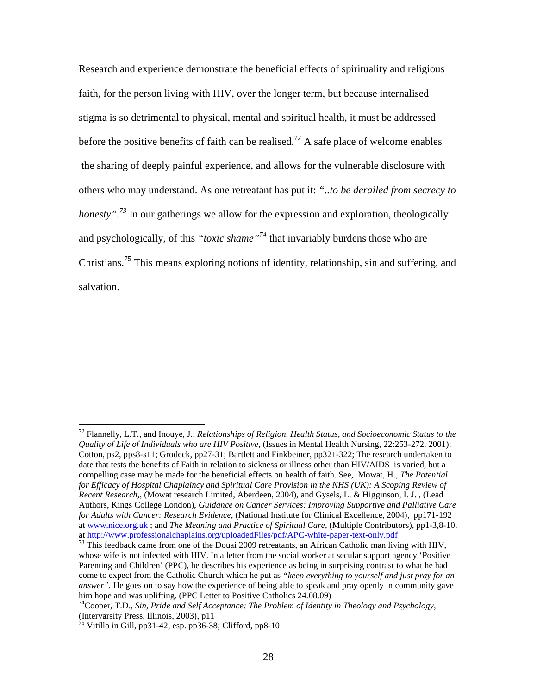Research and experience demonstrate the beneficial effects of spirituality and religious faith, for the person living with HIV, over the longer term, but because internalised stigma is so detrimental to physical, mental and spiritual health, it must be addressed before the positive benefits of faith can be realised.<sup>72</sup> A safe place of welcome enables the sharing of deeply painful experience, and allows for the vulnerable disclosure with others who may understand. As one retreatant has put it: *"..to be derailed from secrecy to honesty*".<sup>73</sup> In our gatherings we allow for the expression and exploration, theologically and psychologically, of this *"toxic shame"<sup>74</sup>* that invariably burdens those who are Christians.<sup>75</sup> This means exploring notions of identity, relationship, sin and suffering, and salvation.

<sup>72</sup> Flannelly, L.T., and Inouye, J., *Relationships of Religion, Health Status, and Socioeconomic Status to the Quality of Life of Individuals who are HIV Positive,* (Issues in Mental Health Nursing, 22:253-272, 2001); Cotton, ps2, pps8-s11; Grodeck, pp27-31; Bartlett and Finkbeiner, pp321-322; The research undertaken to date that tests the benefits of Faith in relation to sickness or illness other than HIV/AIDS is varied, but a compelling case may be made for the beneficial effects on health of faith. See, Mowat, H., *The Potential for Efficacy of Hospital Chaplaincy and Spiritual Care Provision in the NHS (UK): A Scoping Review of Recent Research,*, (Mowat research Limited, Aberdeen, 2004), and Gysels, L. & Higginson, I. J. , (Lead Authors, Kings College London), *Guidance on Cancer Services: Improving Supportive and Palliative Care for Adults with Cancer: Research Evidence,* (National Institute for Clinical Excellence, 2004), pp171-192 at www.nice.org.uk ; and *The Meaning and Practice of Spiritual Care*, (Multiple Contributors), pp1-3,8-10, at http://www.professionalchaplains.org/uploadedFiles/pdf/APC-white-paper-text-only.pdf<br>
<sup>73</sup> This feedback came from one of the Douai 2009 retreatants, an African Catholic man living with HIV,

whose wife is not infected with HIV. In a letter from the social worker at secular support agency 'Positive Parenting and Children' (PPC), he describes his experience as being in surprising contrast to what he had come to expect from the Catholic Church which he put as *"keep everything to yourself and just pray for an answer"*. He goes on to say how the experience of being able to speak and pray openly in community gave him hope and was uplifting. (PPC Letter to Positive Catholics 24.08.09)

<sup>74</sup>Cooper, T.D., *Sin, Pride and Self Acceptance: The Problem of Identity in Theology and Psychology,* (Intervarsity Press, Illinois, 2003), p11

<sup>&</sup>lt;sup>75</sup> Vitillo in Gill, pp31-42, esp. pp36-38; Clifford, pp8-10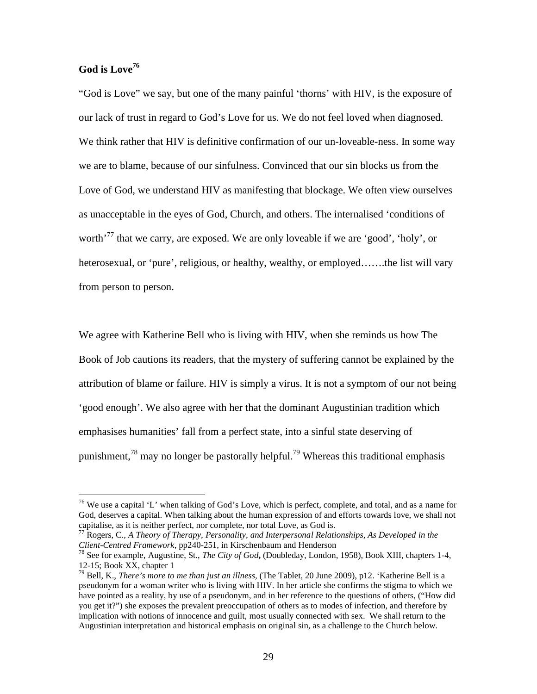### **God is Love76**

 $\overline{a}$ 

"God is Love" we say, but one of the many painful 'thorns' with HIV, is the exposure of our lack of trust in regard to God's Love for us. We do not feel loved when diagnosed. We think rather that HIV is definitive confirmation of our un-loveable-ness. In some way we are to blame, because of our sinfulness. Convinced that our sin blocks us from the Love of God, we understand HIV as manifesting that blockage. We often view ourselves as unacceptable in the eyes of God, Church, and others. The internalised 'conditions of worth<sup>'77</sup> that we carry, are exposed. We are only loveable if we are 'good', 'holy', or heterosexual, or 'pure', religious, or healthy, wealthy, or employed…….the list will vary from person to person.

We agree with Katherine Bell who is living with HIV, when she reminds us how The Book of Job cautions its readers, that the mystery of suffering cannot be explained by the attribution of blame or failure. HIV is simply a virus. It is not a symptom of our not being 'good enough'. We also agree with her that the dominant Augustinian tradition which emphasises humanities' fall from a perfect state, into a sinful state deserving of punishment,<sup>78</sup> may no longer be pastorally helpful.<sup>79</sup> Whereas this traditional emphasis

 $76$  We use a capital 'L' when talking of God's Love, which is perfect, complete, and total, and as a name for God, deserves a capital. When talking about the human expression of and efforts towards love, we shall not capitalise, as it is neither perfect, nor complete, nor total Love, as God is.

<sup>77</sup> Rogers, C., *A Theory of Therapy, Personality, and Interpersonal Relationships, As Developed in the* 

<sup>&</sup>lt;sup>78</sup> See for example, Augustine, St., *The City of God*, (Doubleday, London, 1958), Book XIII, chapters 1-4, 12-15; Book XX, chapter 1

<sup>79</sup> Bell, K., *There's more to me than just an illness,* (The Tablet, 20 June 2009), p12. 'Katherine Bell is a pseudonym for a woman writer who is living with HIV. In her article she confirms the stigma to which we have pointed as a reality, by use of a pseudonym, and in her reference to the questions of others, ("How did you get it?") she exposes the prevalent preoccupation of others as to modes of infection, and therefore by implication with notions of innocence and guilt, most usually connected with sex. We shall return to the Augustinian interpretation and historical emphasis on original sin, as a challenge to the Church below.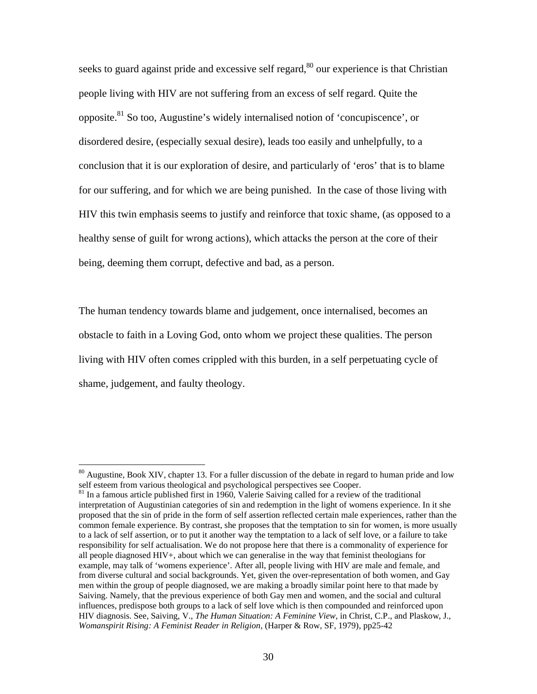seeks to guard against pride and excessive self regard, $80$  our experience is that Christian people living with HIV are not suffering from an excess of self regard. Quite the opposite.<sup>81</sup> So too, Augustine's widely internalised notion of 'concupiscence', or disordered desire, (especially sexual desire), leads too easily and unhelpfully, to a conclusion that it is our exploration of desire, and particularly of 'eros' that is to blame for our suffering, and for which we are being punished. In the case of those living with HIV this twin emphasis seems to justify and reinforce that toxic shame, (as opposed to a healthy sense of guilt for wrong actions), which attacks the person at the core of their being, deeming them corrupt, defective and bad, as a person.

The human tendency towards blame and judgement, once internalised, becomes an obstacle to faith in a Loving God, onto whom we project these qualities. The person living with HIV often comes crippled with this burden, in a self perpetuating cycle of shame, judgement, and faulty theology.

 $80$  Augustine, Book XIV, chapter 13. For a fuller discussion of the debate in regard to human pride and low self esteem from various theological and psychological perspectives see Cooper.

<sup>&</sup>lt;sup>81</sup> In a famous article published first in 1960, Valerie Saiving called for a review of the traditional interpretation of Augustinian categories of sin and redemption in the light of womens experience. In it she proposed that the sin of pride in the form of self assertion reflected certain male experiences, rather than the common female experience. By contrast, she proposes that the temptation to sin for women, is more usually to a lack of self assertion, or to put it another way the temptation to a lack of self love, or a failure to take responsibility for self actualisation. We do not propose here that there is a commonality of experience for all people diagnosed HIV+, about which we can generalise in the way that feminist theologians for example, may talk of 'womens experience'. After all, people living with HIV are male and female, and from diverse cultural and social backgrounds. Yet, given the over-representation of both women, and Gay men within the group of people diagnosed, we are making a broadly similar point here to that made by Saiving. Namely, that the previous experience of both Gay men and women, and the social and cultural influences, predispose both groups to a lack of self love which is then compounded and reinforced upon HIV diagnosis. See, Saiving, V., *The Human Situation: A Feminine View*, in Christ, C.P., and Plaskow, J., *Womanspirit Rising: A Feminist Reader in Religion,* (Harper & Row, SF, 1979), pp25-42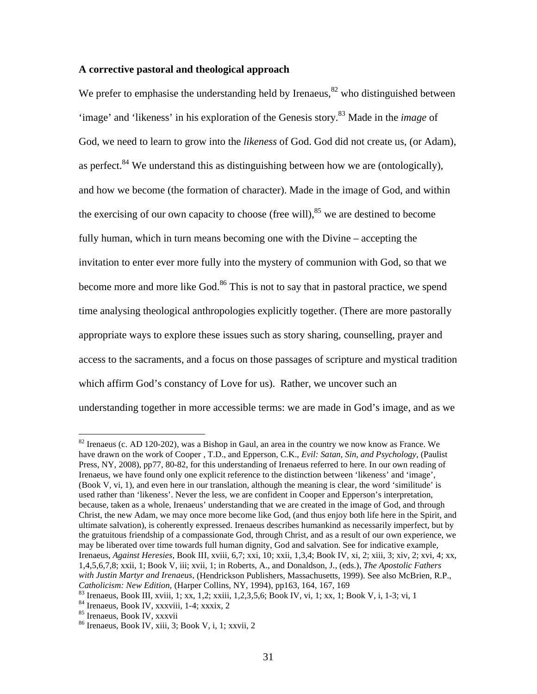### **A corrective pastoral and theological approach**

We prefer to emphasise the understanding held by Irenaeus,  $82$  who distinguished between 'image' and 'likeness' in his exploration of the Genesis story.<sup>83</sup> Made in the *image* of God, we need to learn to grow into the *likeness* of God. God did not create us, (or Adam), as perfect.  $84$  We understand this as distinguishing between how we are (ontologically), and how we become (the formation of character). Made in the image of God, and within the exercising of our own capacity to choose (free will),  $85$  we are destined to become fully human, which in turn means becoming one with the Divine – accepting the invitation to enter ever more fully into the mystery of communion with God, so that we become more and more like God.<sup>86</sup> This is not to say that in pastoral practice, we spend time analysing theological anthropologies explicitly together. (There are more pastorally appropriate ways to explore these issues such as story sharing, counselling, prayer and access to the sacraments, and a focus on those passages of scripture and mystical tradition which affirm God's constancy of Love for us). Rather, we uncover such an understanding together in more accessible terms: we are made in God's image, and as we

<sup>&</sup>lt;sup>82</sup> Irenaeus (c. AD 120-202), was a Bishop in Gaul, an area in the country we now know as France. We have drawn on the work of Cooper , T.D., and Epperson, C.K., *Evil: Satan, Sin, and Psychology,* (Paulist Press, NY, 2008), pp77, 80-82, for this understanding of Irenaeus referred to here. In our own reading of Irenaeus, we have found only one explicit reference to the distinction between 'likeness' and 'image', (Book V, vi, 1), and even here in our translation, although the meaning is clear, the word 'similitude' is used rather than 'likeness'. Never the less, we are confident in Cooper and Epperson's interpretation, because, taken as a whole, Irenaeus' understanding that we are created in the image of God, and through Christ, the new Adam, we may once more become like God, (and thus enjoy both life here in the Spirit, and ultimate salvation), is coherently expressed. Irenaeus describes humankind as necessarily imperfect, but by the gratuitous friendship of a compassionate God, through Christ, and as a result of our own experience, we may be liberated over time towards full human dignity, God and salvation. See for indicative example, Irenaeus, *Against Heresies*, Book III, xviii, 6,7; xxi, 10; xxii, 1,3,4; Book IV, xi, 2; xiii, 3; xiv, 2; xvi, 4; xx, 1,4,5,6,7,8; xxii, 1; Book V, iii; xvii, 1; in Roberts, A., and Donaldson, J., (eds.), *The Apostolic Fathers with Justin Martyr and Irenaeus,* (Hendrickson Publishers, Massachusetts, 1999). See also McBrien, R.P., Catholicism: New Edition, (Harper Collins, NY, 1994), pp163, 164, 167, 169<br>
<sup>83</sup> Irenaeus, Book III, xviii, 1; xx, 1,2; xxiii, 1,2,3,5,6; Book IV, vi, 1; xx, 1; Book V, i, 1-3; vi, 1<br>
<sup>84</sup> Irenaeus, Book IV, xxxviii, 1-4;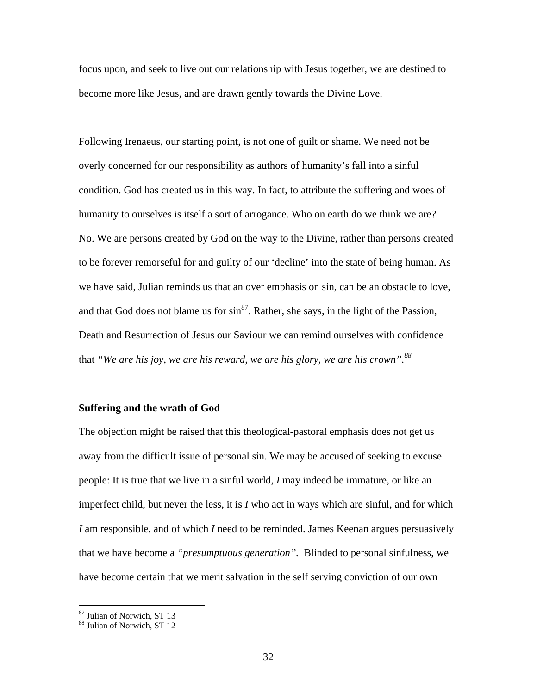focus upon, and seek to live out our relationship with Jesus together, we are destined to become more like Jesus, and are drawn gently towards the Divine Love.

Following Irenaeus, our starting point, is not one of guilt or shame. We need not be overly concerned for our responsibility as authors of humanity's fall into a sinful condition. God has created us in this way. In fact, to attribute the suffering and woes of humanity to ourselves is itself a sort of arrogance. Who on earth do we think we are? No. We are persons created by God on the way to the Divine, rather than persons created to be forever remorseful for and guilty of our 'decline' into the state of being human. As we have said, Julian reminds us that an over emphasis on sin, can be an obstacle to love, and that God does not blame us for  $\sin^{87}$ . Rather, she says, in the light of the Passion, Death and Resurrection of Jesus our Saviour we can remind ourselves with confidence that *"We are his joy, we are his reward, we are his glory, we are his crown".<sup>88</sup>*

### **Suffering and the wrath of God**

The objection might be raised that this theological-pastoral emphasis does not get us away from the difficult issue of personal sin. We may be accused of seeking to excuse people: It is true that we live in a sinful world, *I* may indeed be immature, or like an imperfect child, but never the less, it is *I* who act in ways which are sinful, and for which *I* am responsible, and of which *I* need to be reminded. James Keenan argues persuasively that we have become a *"presumptuous generation".* Blinded to personal sinfulness, we have become certain that we merit salvation in the self serving conviction of our own

<sup>87</sup> Julian of Norwich, ST 13 <sup>88</sup> Julian of Norwich, ST 12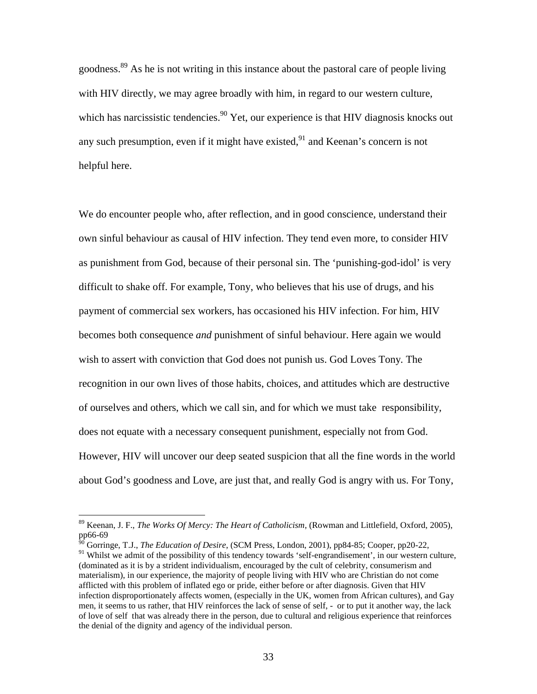goodness.89 As he is not writing in this instance about the pastoral care of people living with HIV directly, we may agree broadly with him, in regard to our western culture, which has narcissistic tendencies.<sup>90</sup> Yet, our experience is that HIV diagnosis knocks out any such presumption, even if it might have existed, $91$  and Keenan's concern is not helpful here.

We do encounter people who, after reflection, and in good conscience, understand their own sinful behaviour as causal of HIV infection. They tend even more, to consider HIV as punishment from God, because of their personal sin. The 'punishing-god-idol' is very difficult to shake off. For example, Tony, who believes that his use of drugs, and his payment of commercial sex workers, has occasioned his HIV infection. For him, HIV becomes both consequence *and* punishment of sinful behaviour. Here again we would wish to assert with conviction that God does not punish us. God Loves Tony. The recognition in our own lives of those habits, choices, and attitudes which are destructive of ourselves and others, which we call sin, and for which we must take responsibility, does not equate with a necessary consequent punishment, especially not from God. However, HIV will uncover our deep seated suspicion that all the fine words in the world about God's goodness and Love, are just that, and really God is angry with us. For Tony,

<sup>89</sup> Keenan, J. F., *The Works Of Mercy: The Heart of Catholicism*, (Rowman and Littlefield, Oxford, 2005), pp66-69

<sup>90</sup> Gorringe, T.J., *The Education of Desire*, (SCM Press, London, 2001), pp84-85; Cooper, pp20-22,

<sup>&</sup>lt;sup>91</sup> Whilst we admit of the possibility of this tendency towards 'self-engrandisement', in our western culture, (dominated as it is by a strident individualism, encouraged by the cult of celebrity, consumerism and materialism), in our experience, the majority of people living with HIV who are Christian do not come afflicted with this problem of inflated ego or pride, either before or after diagnosis. Given that HIV infection disproportionately affects women, (especially in the UK, women from African cultures), and Gay men, it seems to us rather, that HIV reinforces the lack of sense of self, - or to put it another way, the lack of love of self that was already there in the person, due to cultural and religious experience that reinforces the denial of the dignity and agency of the individual person.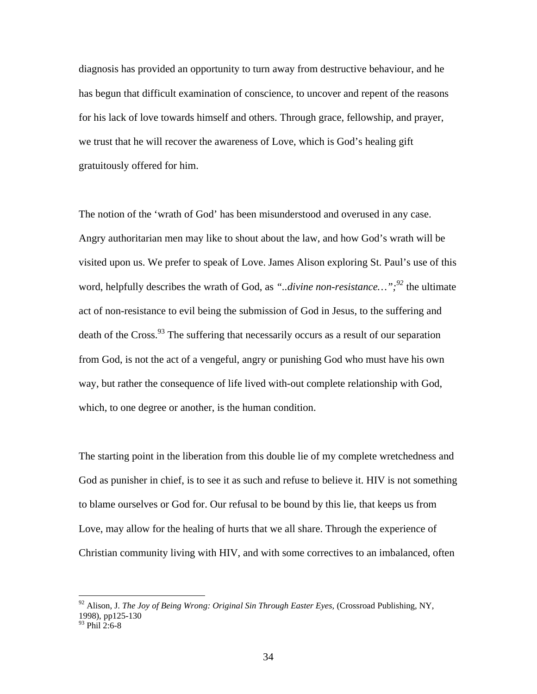diagnosis has provided an opportunity to turn away from destructive behaviour, and he has begun that difficult examination of conscience, to uncover and repent of the reasons for his lack of love towards himself and others. Through grace, fellowship, and prayer, we trust that he will recover the awareness of Love, which is God's healing gift gratuitously offered for him.

The notion of the 'wrath of God' has been misunderstood and overused in any case. Angry authoritarian men may like to shout about the law, and how God's wrath will be visited upon us. We prefer to speak of Love. James Alison exploring St. Paul's use of this word, helpfully describes the wrath of God, as *"..divine non-resistance…";<sup>92</sup>* the ultimate act of non-resistance to evil being the submission of God in Jesus, to the suffering and death of the Cross.  $93$  The suffering that necessarily occurs as a result of our separation from God, is not the act of a vengeful, angry or punishing God who must have his own way, but rather the consequence of life lived with-out complete relationship with God, which, to one degree or another, is the human condition.

The starting point in the liberation from this double lie of my complete wretchedness and God as punisher in chief, is to see it as such and refuse to believe it. HIV is not something to blame ourselves or God for. Our refusal to be bound by this lie, that keeps us from Love, may allow for the healing of hurts that we all share. Through the experience of Christian community living with HIV, and with some correctives to an imbalanced, often

<sup>92</sup> Alison, J. *The Joy of Being Wrong: Original Sin Through Easter Eyes,* (Crossroad Publishing, NY, 1998), pp125-130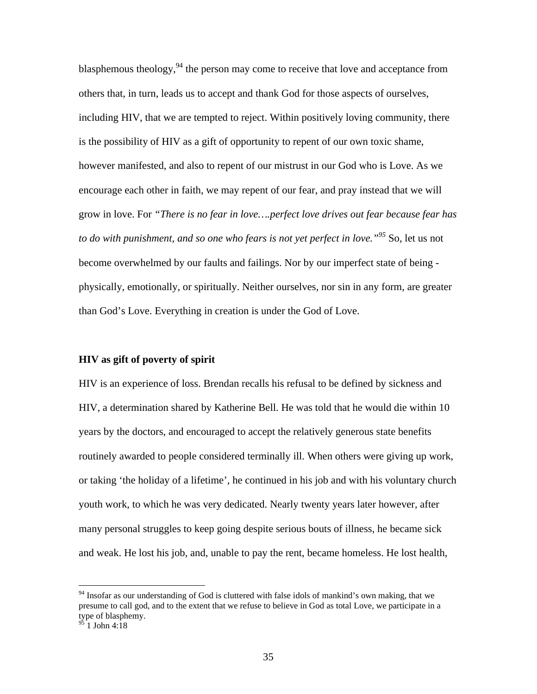blasphemous theology,  $94$  the person may come to receive that love and acceptance from others that, in turn, leads us to accept and thank God for those aspects of ourselves, including HIV, that we are tempted to reject. Within positively loving community, there is the possibility of HIV as a gift of opportunity to repent of our own toxic shame, however manifested, and also to repent of our mistrust in our God who is Love. As we encourage each other in faith, we may repent of our fear, and pray instead that we will grow in love. For *"There is no fear in love….perfect love drives out fear because fear has to do with punishment, and so one who fears is not yet perfect in love."95* So, let us not become overwhelmed by our faults and failings. Nor by our imperfect state of being physically, emotionally, or spiritually. Neither ourselves, nor sin in any form, are greater than God's Love. Everything in creation is under the God of Love.

### **HIV as gift of poverty of spirit**

HIV is an experience of loss. Brendan recalls his refusal to be defined by sickness and HIV, a determination shared by Katherine Bell. He was told that he would die within 10 years by the doctors, and encouraged to accept the relatively generous state benefits routinely awarded to people considered terminally ill. When others were giving up work, or taking 'the holiday of a lifetime', he continued in his job and with his voluntary church youth work, to which he was very dedicated. Nearly twenty years later however, after many personal struggles to keep going despite serious bouts of illness, he became sick and weak. He lost his job, and, unable to pay the rent, became homeless. He lost health,

<sup>&</sup>lt;sup>94</sup> Insofar as our understanding of God is cluttered with false idols of mankind's own making, that we presume to call god, and to the extent that we refuse to believe in God as total Love, we participate in a type of blasphemy.

 $95$  1 John 4:18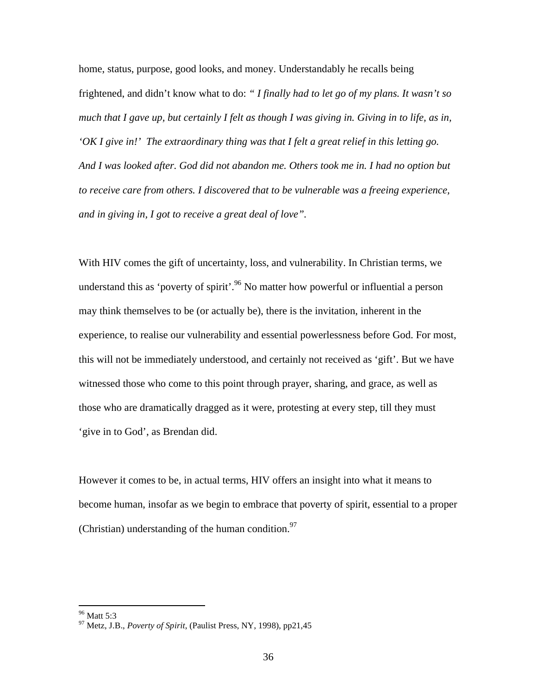home, status, purpose, good looks, and money. Understandably he recalls being frightened, and didn't know what to do: *" I finally had to let go of my plans. It wasn't so much that I gave up, but certainly I felt as though I was giving in. Giving in to life, as in, 'OK I give in!' The extraordinary thing was that I felt a great relief in this letting go. And I was looked after. God did not abandon me. Others took me in. I had no option but to receive care from others. I discovered that to be vulnerable was a freeing experience, and in giving in, I got to receive a great deal of love".*

With HIV comes the gift of uncertainty, loss, and vulnerability. In Christian terms, we understand this as 'poverty of spirit'.<sup>96</sup> No matter how powerful or influential a person may think themselves to be (or actually be), there is the invitation, inherent in the experience, to realise our vulnerability and essential powerlessness before God. For most, this will not be immediately understood, and certainly not received as 'gift'. But we have witnessed those who come to this point through prayer, sharing, and grace, as well as those who are dramatically dragged as it were, protesting at every step, till they must 'give in to God', as Brendan did.

However it comes to be, in actual terms, HIV offers an insight into what it means to become human, insofar as we begin to embrace that poverty of spirit, essential to a proper (Christian) understanding of the human condition. $97$ 

<sup>96</sup> Matt 5:3 <sup>97</sup> Metz, J.B., *Poverty of Spirit*, (Paulist Press, NY, 1998), pp21,45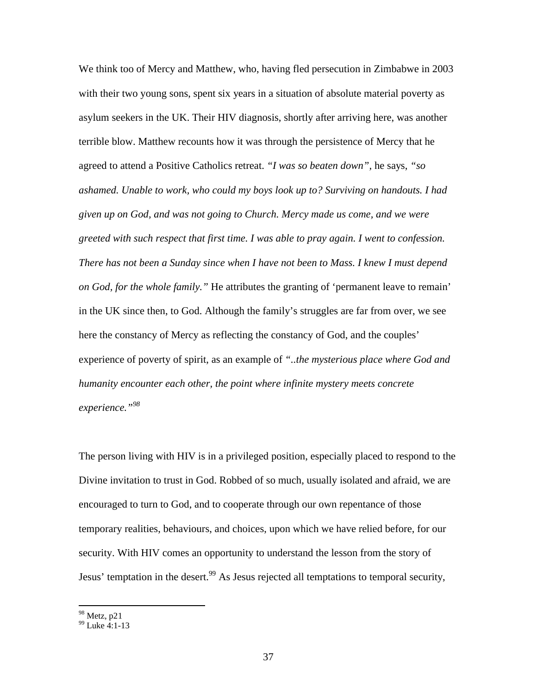We think too of Mercy and Matthew, who, having fled persecution in Zimbabwe in 2003 with their two young sons, spent six years in a situation of absolute material poverty as asylum seekers in the UK. Their HIV diagnosis, shortly after arriving here, was another terrible blow. Matthew recounts how it was through the persistence of Mercy that he agreed to attend a Positive Catholics retreat. *"I was so beaten down",* he says, *"so ashamed. Unable to work, who could my boys look up to? Surviving on handouts. I had given up on God, and was not going to Church. Mercy made us come, and we were greeted with such respect that first time. I was able to pray again. I went to confession. There has not been a Sunday since when I have not been to Mass. I knew I must depend on God, for the whole family."* He attributes the granting of 'permanent leave to remain' in the UK since then, to God. Although the family's struggles are far from over, we see here the constancy of Mercy as reflecting the constancy of God, and the couples' experience of poverty of spirit, as an example of *"..the mysterious place where God and humanity encounter each other, the point where infinite mystery meets concrete experience."98* 

The person living with HIV is in a privileged position, especially placed to respond to the Divine invitation to trust in God. Robbed of so much, usually isolated and afraid, we are encouraged to turn to God, and to cooperate through our own repentance of those temporary realities, behaviours, and choices, upon which we have relied before, for our security. With HIV comes an opportunity to understand the lesson from the story of Jesus' temptation in the desert.<sup>99</sup> As Jesus rejected all temptations to temporal security,

 $\frac{98}{99}$  Metz, p21<br> $\frac{99}{1}$  Luke 4:1-13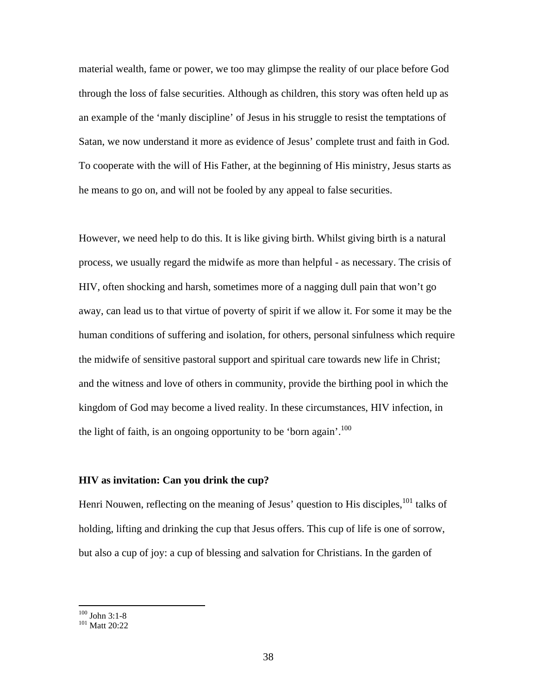material wealth, fame or power, we too may glimpse the reality of our place before God through the loss of false securities. Although as children, this story was often held up as an example of the 'manly discipline' of Jesus in his struggle to resist the temptations of Satan, we now understand it more as evidence of Jesus' complete trust and faith in God. To cooperate with the will of His Father, at the beginning of His ministry, Jesus starts as he means to go on, and will not be fooled by any appeal to false securities.

However, we need help to do this. It is like giving birth. Whilst giving birth is a natural process, we usually regard the midwife as more than helpful - as necessary. The crisis of HIV, often shocking and harsh, sometimes more of a nagging dull pain that won't go away, can lead us to that virtue of poverty of spirit if we allow it. For some it may be the human conditions of suffering and isolation, for others, personal sinfulness which require the midwife of sensitive pastoral support and spiritual care towards new life in Christ; and the witness and love of others in community, provide the birthing pool in which the kingdom of God may become a lived reality. In these circumstances, HIV infection, in the light of faith, is an ongoing opportunity to be 'born again'.<sup>100</sup>

### **HIV as invitation: Can you drink the cup?**

Henri Nouwen, reflecting on the meaning of Jesus' question to His disciples,<sup>101</sup> talks of holding, lifting and drinking the cup that Jesus offers. This cup of life is one of sorrow, but also a cup of joy: a cup of blessing and salvation for Christians. In the garden of

 $100$  John 3:1-8

 $101$  Matt 20:22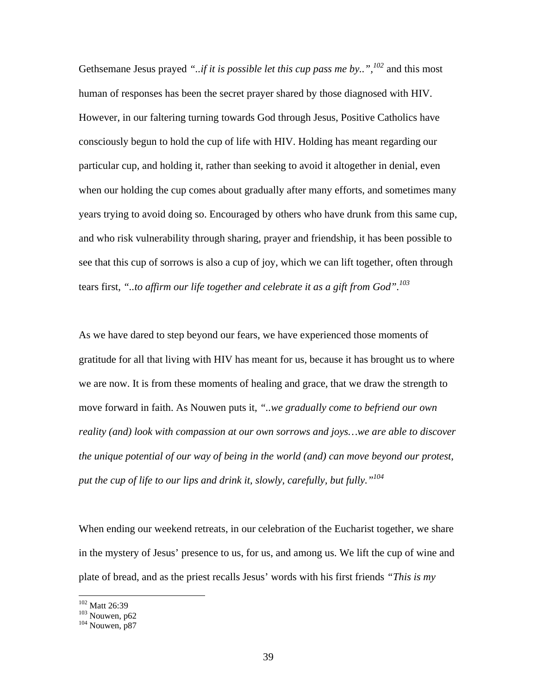Gethsemane Jesus prayed *"..if it is possible let this cup pass me by..",<sup>102</sup>* and this most human of responses has been the secret prayer shared by those diagnosed with HIV. However, in our faltering turning towards God through Jesus, Positive Catholics have consciously begun to hold the cup of life with HIV. Holding has meant regarding our particular cup, and holding it, rather than seeking to avoid it altogether in denial, even when our holding the cup comes about gradually after many efforts, and sometimes many years trying to avoid doing so. Encouraged by others who have drunk from this same cup, and who risk vulnerability through sharing, prayer and friendship, it has been possible to see that this cup of sorrows is also a cup of joy, which we can lift together, often through tears first, *"..to affirm our life together and celebrate it as a gift from God".103*

As we have dared to step beyond our fears, we have experienced those moments of gratitude for all that living with HIV has meant for us, because it has brought us to where we are now. It is from these moments of healing and grace, that we draw the strength to move forward in faith. As Nouwen puts it, *"..we gradually come to befriend our own reality (and) look with compassion at our own sorrows and joys…we are able to discover the unique potential of our way of being in the world (and) can move beyond our protest, put the cup of life to our lips and drink it, slowly, carefully, but fully."104*

When ending our weekend retreats, in our celebration of the Eucharist together, we share in the mystery of Jesus' presence to us, for us, and among us. We lift the cup of wine and plate of bread, and as the priest recalls Jesus' words with his first friends *"This is my* 

 $\frac{^{102}}{^{103}}$  Matt 26:39<br> $\frac{^{103}}{^{104}}$  Nouwen, p87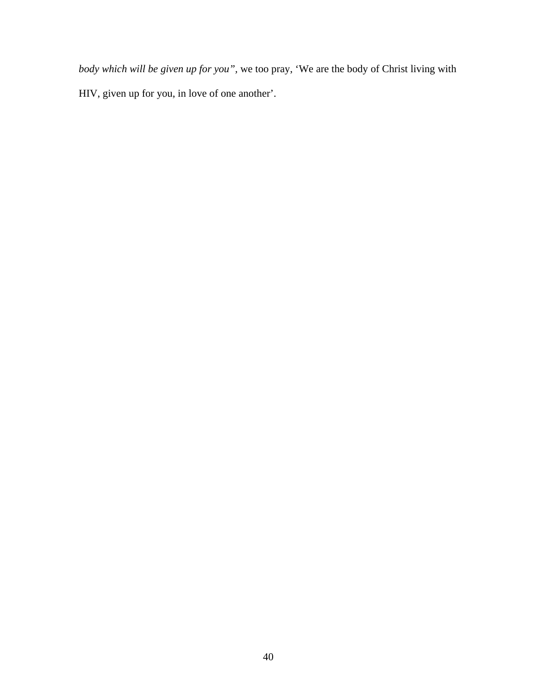*body which will be given up for you",* we too pray, 'We are the body of Christ living with HIV, given up for you, in love of one another'.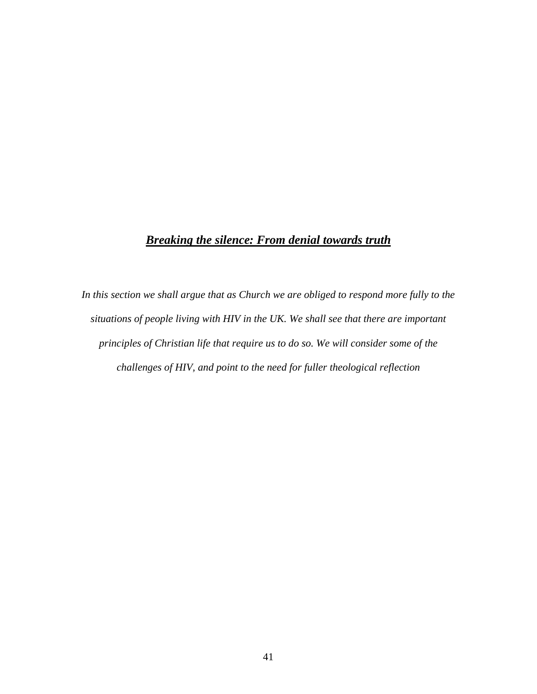# *Breaking the silence: From denial towards truth*

*In this section we shall argue that as Church we are obliged to respond more fully to the situations of people living with HIV in the UK. We shall see that there are important principles of Christian life that require us to do so. We will consider some of the challenges of HIV, and point to the need for fuller theological reflection*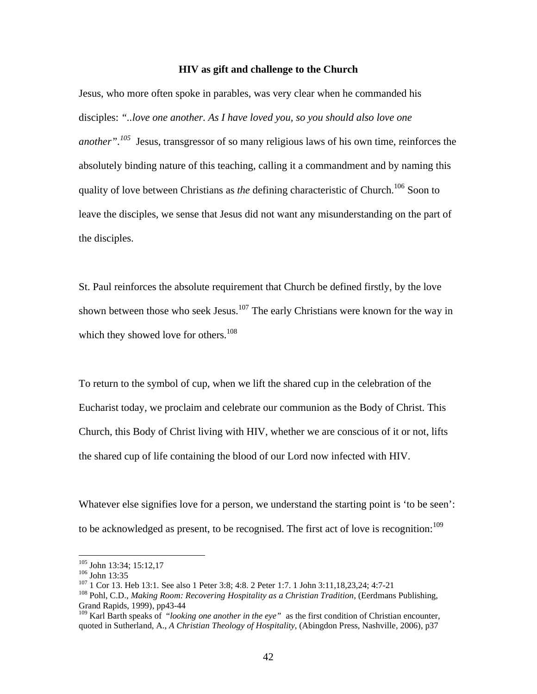### **HIV as gift and challenge to the Church**

Jesus, who more often spoke in parables, was very clear when he commanded his disciples: *"..love one another. As I have loved you, so you should also love one another".105* Jesus, transgressor of so many religious laws of his own time, reinforces the absolutely binding nature of this teaching, calling it a commandment and by naming this quality of love between Christians as *the* defining characteristic of Church.<sup>106</sup> Soon to leave the disciples, we sense that Jesus did not want any misunderstanding on the part of the disciples.

St. Paul reinforces the absolute requirement that Church be defined firstly, by the love shown between those who seek Jesus. $107$  The early Christians were known for the way in which they showed love for others. $108$ 

To return to the symbol of cup, when we lift the shared cup in the celebration of the Eucharist today, we proclaim and celebrate our communion as the Body of Christ. This Church, this Body of Christ living with HIV, whether we are conscious of it or not, lifts the shared cup of life containing the blood of our Lord now infected with HIV.

Whatever else signifies love for a person, we understand the starting point is 'to be seen': to be acknowledged as present, to be recognised. The first act of love is recognition:  $109$ 

<sup>&</sup>lt;sup>105</sup> John 13:34; 15:12,17

<sup>&</sup>lt;sup>106</sup> John 13:35<br><sup>107</sup> 1 Cor 13. Heb 13:1. See also 1 Peter 3:8; 4:8. 2 Peter 1:7. 1 John 3:11,18,23,24; 4:7-21<br><sup>108</sup> Pohl, C.D., *Making Room: Recovering Hospitality as a Christian Tradition*, (Eerdmans Publishing,

Grand Rapids, 1999), pp43-44

<sup>109</sup> Karl Barth speaks of "*looking one another in the eye"* as the first condition of Christian encounter, quoted in Sutherland, A., *A Christian Theology of Hospitality*, (Abingdon Press, Nashville, 2006), p37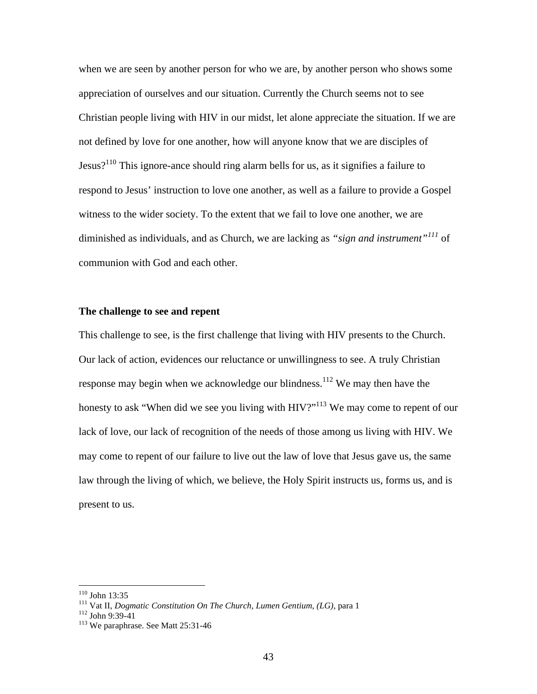when we are seen by another person for who we are, by another person who shows some appreciation of ourselves and our situation. Currently the Church seems not to see Christian people living with HIV in our midst, let alone appreciate the situation. If we are not defined by love for one another, how will anyone know that we are disciples of Jesus?<sup>110</sup> This ignore-ance should ring alarm bells for us, as it signifies a failure to respond to Jesus' instruction to love one another, as well as a failure to provide a Gospel witness to the wider society. To the extent that we fail to love one another, we are diminished as individuals, and as Church, we are lacking as *"sign and instrument"<sup>111</sup>* of communion with God and each other.

### **The challenge to see and repent**

This challenge to see, is the first challenge that living with HIV presents to the Church. Our lack of action, evidences our reluctance or unwillingness to see. A truly Christian response may begin when we acknowledge our blindness.<sup>112</sup> We may then have the honesty to ask "When did we see you living with HIV?"<sup>113</sup> We may come to repent of our lack of love, our lack of recognition of the needs of those among us living with HIV. We may come to repent of our failure to live out the law of love that Jesus gave us, the same law through the living of which, we believe, the Holy Spirit instructs us, forms us, and is present to us.

<sup>&</sup>lt;sup>110</sup> John 13:35<br><sup>111</sup> Vat II, *Dogmatic Constitution On The Church, Lumen Gentium, (LG),* para 1<br><sup>112</sup> John 9:39-41<br><sup>113</sup> We paraphrase. See Matt 25:31-46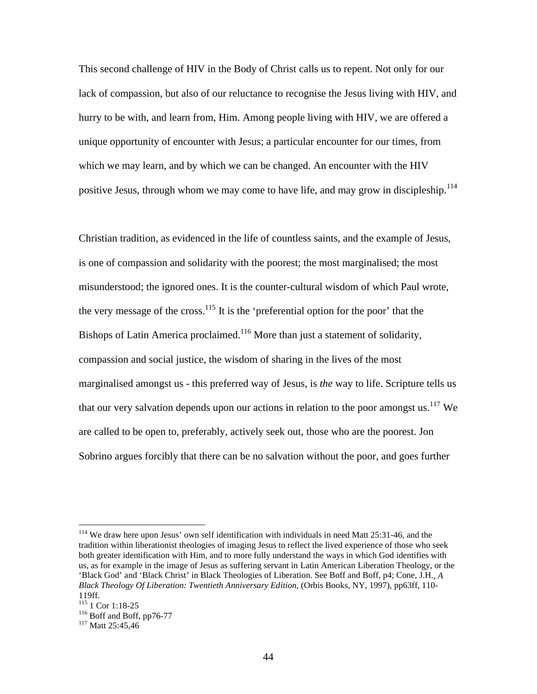This second challenge of HIV in the Body of Christ calls us to repent. Not only for our lack of compassion, but also of our reluctance to recognise the Jesus living with HIV, and hurry to be with, and learn from, Him. Among people living with HIV, we are offered a unique opportunity of encounter with Jesus; a particular encounter for our times, from which we may learn, and by which we can be changed. An encounter with the HIV positive Jesus, through whom we may come to have life, and may grow in discipleship.<sup>114</sup>

Christian tradition, as evidenced in the life of countless saints, and the example of Jesus, is one of compassion and solidarity with the poorest; the most marginalised; the most misunderstood; the ignored ones. It is the counter-cultural wisdom of which Paul wrote, the very message of the cross.<sup>115</sup> It is the 'preferential option for the poor' that the Bishops of Latin America proclaimed.<sup>116</sup> More than just a statement of solidarity, compassion and social justice, the wisdom of sharing in the lives of the most marginalised amongst us - this preferred way of Jesus, is *the* way to life. Scripture tells us that our very salvation depends upon our actions in relation to the poor amongst us.<sup>117</sup> We are called to be open to, preferably, actively seek out, those who are the poorest. Jon Sobrino argues forcibly that there can be no salvation without the poor, and goes further

<sup>&</sup>lt;sup>114</sup> We draw here upon Jesus' own self identification with individuals in need Matt 25:31-46, and the tradition within liberationist theologies of imaging Jesus to reflect the lived experience of those who seek both greater identification with Him, and to more fully understand the ways in which God identifies with us, as for example in the image of Jesus as suffering servant in Latin American Liberation Theology, or the 'Black God' and 'Black Christ' in Black Theologies of Liberation. See Boff and Boff, p4; Cone, J.H*., A Black Theology Of Liberation: Twentieth Anniversary Edition,* (Orbis Books, NY, 1997), pp63ff, 110-

<sup>119</sup>ff.<br><sup>115</sup> 1 Cor 1:18-25

<sup>&</sup>lt;sup>116</sup> Boff and Boff, pp76-77<br><sup>117</sup> Matt 25:45,46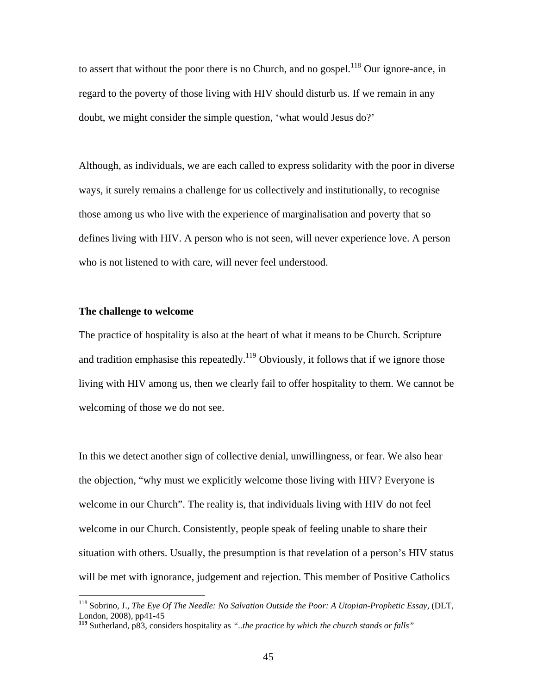to assert that without the poor there is no Church, and no gospel.<sup>118</sup> Our ignore-ance, in regard to the poverty of those living with HIV should disturb us. If we remain in any doubt, we might consider the simple question, 'what would Jesus do?'

Although, as individuals, we are each called to express solidarity with the poor in diverse ways, it surely remains a challenge for us collectively and institutionally, to recognise those among us who live with the experience of marginalisation and poverty that so defines living with HIV. A person who is not seen, will never experience love. A person who is not listened to with care, will never feel understood.

### **The challenge to welcome**

 $\overline{a}$ 

The practice of hospitality is also at the heart of what it means to be Church. Scripture and tradition emphasise this repeatedly.<sup>119</sup> Obviously, it follows that if we ignore those living with HIV among us, then we clearly fail to offer hospitality to them. We cannot be welcoming of those we do not see.

In this we detect another sign of collective denial, unwillingness, or fear. We also hear the objection, "why must we explicitly welcome those living with HIV? Everyone is welcome in our Church". The reality is, that individuals living with HIV do not feel welcome in our Church. Consistently, people speak of feeling unable to share their situation with others. Usually, the presumption is that revelation of a person's HIV status will be met with ignorance, judgement and rejection. This member of Positive Catholics

<sup>118</sup> Sobrino, J., *The Eye Of The Needle: No Salvation Outside the Poor: A Utopian-Prophetic Essay*, (DLT, London, 2008), pp41-45

**<sup>119</sup>** Sutherland, p83, considers hospitality as *"..the practice by which the church stands or falls"*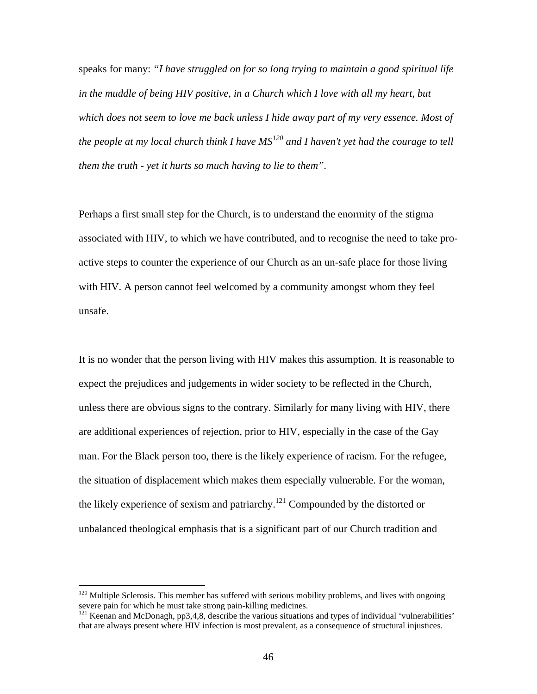speaks for many: *"I have struggled on for so long trying to maintain a good spiritual life in the muddle of being HIV positive, in a Church which I love with all my heart, but which does not seem to love me back unless I hide away part of my very essence. Most of the people at my local church think I have MS<sup>120</sup> and I haven't yet had the courage to tell them the truth - yet it hurts so much having to lie to them".*

Perhaps a first small step for the Church, is to understand the enormity of the stigma associated with HIV, to which we have contributed, and to recognise the need to take proactive steps to counter the experience of our Church as an un-safe place for those living with HIV. A person cannot feel welcomed by a community amongst whom they feel unsafe.

It is no wonder that the person living with HIV makes this assumption. It is reasonable to expect the prejudices and judgements in wider society to be reflected in the Church, unless there are obvious signs to the contrary. Similarly for many living with HIV, there are additional experiences of rejection, prior to HIV, especially in the case of the Gay man. For the Black person too, there is the likely experience of racism. For the refugee, the situation of displacement which makes them especially vulnerable. For the woman, the likely experience of sexism and patriarchy.<sup>121</sup> Compounded by the distorted or unbalanced theological emphasis that is a significant part of our Church tradition and

 $120$  Multiple Sclerosis. This member has suffered with serious mobility problems, and lives with ongoing severe pain for which he must take strong pain-killing medicines.

<sup>&</sup>lt;sup>121</sup> Keenan and McDonagh, pp3,4,8, describe the various situations and types of individual 'vulnerabilities' that are always present where HIV infection is most prevalent, as a consequence of structural injustices.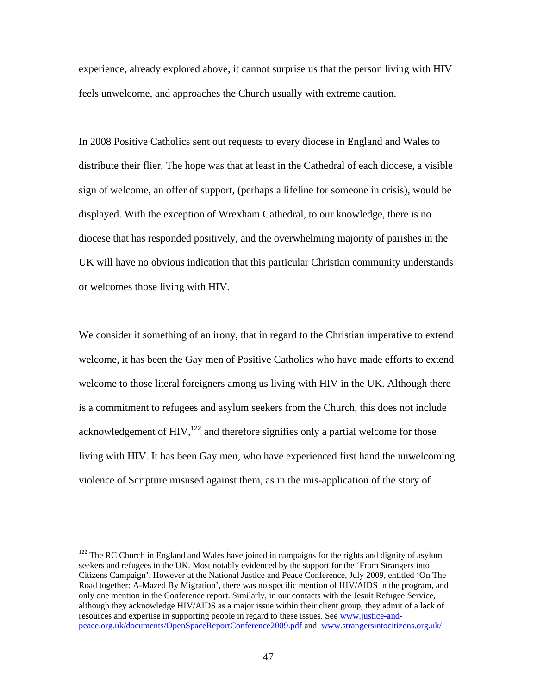experience, already explored above, it cannot surprise us that the person living with HIV feels unwelcome, and approaches the Church usually with extreme caution.

In 2008 Positive Catholics sent out requests to every diocese in England and Wales to distribute their flier. The hope was that at least in the Cathedral of each diocese, a visible sign of welcome, an offer of support, (perhaps a lifeline for someone in crisis), would be displayed. With the exception of Wrexham Cathedral, to our knowledge, there is no diocese that has responded positively, and the overwhelming majority of parishes in the UK will have no obvious indication that this particular Christian community understands or welcomes those living with HIV.

We consider it something of an irony, that in regard to the Christian imperative to extend welcome, it has been the Gay men of Positive Catholics who have made efforts to extend welcome to those literal foreigners among us living with HIV in the UK. Although there is a commitment to refugees and asylum seekers from the Church, this does not include acknowledgement of  $HIV$ ,<sup>122</sup> and therefore signifies only a partial welcome for those living with HIV. It has been Gay men, who have experienced first hand the unwelcoming violence of Scripture misused against them, as in the mis-application of the story of

 $122$  The RC Church in England and Wales have joined in campaigns for the rights and dignity of asylum seekers and refugees in the UK. Most notably evidenced by the support for the 'From Strangers into Citizens Campaign'. However at the National Justice and Peace Conference, July 2009, entitled 'On The Road together: A-Mazed By Migration', there was no specific mention of HIV/AIDS in the program, and only one mention in the Conference report. Similarly, in our contacts with the Jesuit Refugee Service, although they acknowledge HIV/AIDS as a major issue within their client group, they admit of a lack of resources and expertise in supporting people in regard to these issues. See www.justice-andpeace.org.uk/documents/OpenSpaceReportConference2009.pdf and www.strangersintocitizens.org.uk/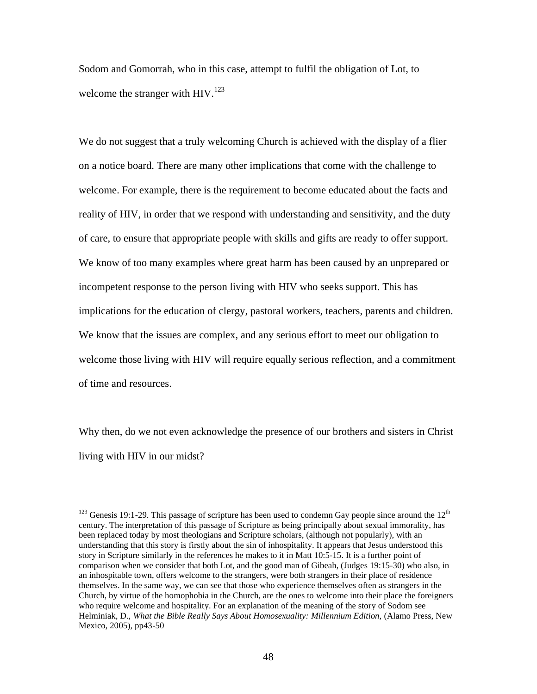Sodom and Gomorrah, who in this case, attempt to fulfil the obligation of Lot, to welcome the stranger with HIV.<sup>123</sup>

We do not suggest that a truly welcoming Church is achieved with the display of a flier on a notice board. There are many other implications that come with the challenge to welcome. For example, there is the requirement to become educated about the facts and reality of HIV, in order that we respond with understanding and sensitivity, and the duty of care, to ensure that appropriate people with skills and gifts are ready to offer support. We know of too many examples where great harm has been caused by an unprepared or incompetent response to the person living with HIV who seeks support. This has implications for the education of clergy, pastoral workers, teachers, parents and children. We know that the issues are complex, and any serious effort to meet our obligation to welcome those living with HIV will require equally serious reflection, and a commitment of time and resources.

Why then, do we not even acknowledge the presence of our brothers and sisters in Christ living with HIV in our midst?

 $123$  Genesis 19:1-29. This passage of scripture has been used to condemn Gay people since around the 12<sup>th</sup> century. The interpretation of this passage of Scripture as being principally about sexual immorality, has been replaced today by most theologians and Scripture scholars, (although not popularly), with an understanding that this story is firstly about the sin of inhospitality. It appears that Jesus understood this story in Scripture similarly in the references he makes to it in Matt 10:5-15. It is a further point of comparison when we consider that both Lot, and the good man of Gibeah, (Judges 19:15-30) who also, in an inhospitable town, offers welcome to the strangers, were both strangers in their place of residence themselves. In the same way, we can see that those who experience themselves often as strangers in the Church, by virtue of the homophobia in the Church, are the ones to welcome into their place the foreigners who require welcome and hospitality. For an explanation of the meaning of the story of Sodom see Helminiak, D., *What the Bible Really Says About Homosexuality: Millennium Edition,* (Alamo Press, New Mexico, 2005), pp43-50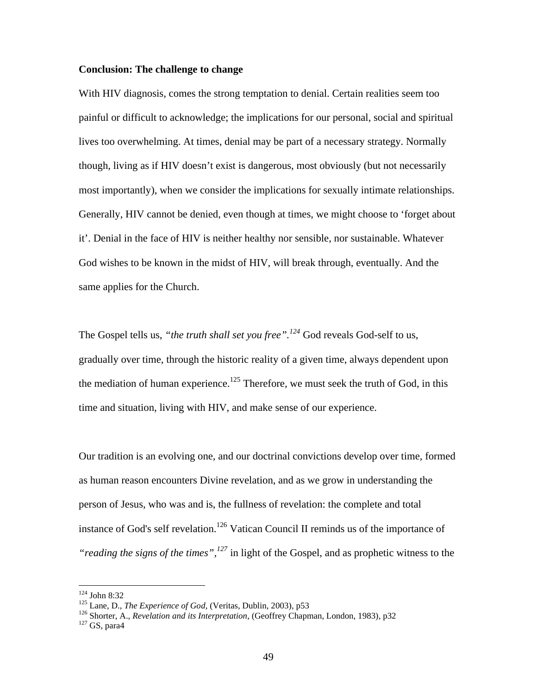### **Conclusion: The challenge to change**

With HIV diagnosis, comes the strong temptation to denial. Certain realities seem too painful or difficult to acknowledge; the implications for our personal, social and spiritual lives too overwhelming. At times, denial may be part of a necessary strategy. Normally though, living as if HIV doesn't exist is dangerous, most obviously (but not necessarily most importantly), when we consider the implications for sexually intimate relationships. Generally, HIV cannot be denied, even though at times, we might choose to 'forget about it'. Denial in the face of HIV is neither healthy nor sensible, nor sustainable. Whatever God wishes to be known in the midst of HIV, will break through, eventually. And the same applies for the Church.

The Gospel tells us, *"the truth shall set you free".<sup>124</sup>* God reveals God-self to us, gradually over time, through the historic reality of a given time, always dependent upon the mediation of human experience.<sup>125</sup> Therefore, we must seek the truth of God, in this time and situation, living with HIV, and make sense of our experience.

Our tradition is an evolving one, and our doctrinal convictions develop over time, formed as human reason encounters Divine revelation, and as we grow in understanding the person of Jesus, who was and is, the fullness of revelation: the complete and total instance of God's self revelation.<sup>126</sup> Vatican Council II reminds us of the importance of *"reading the signs of the times",<sup>127</sup>* in light of the Gospel, and as prophetic witness to the

<sup>&</sup>lt;sup>124</sup> John 8:32<br><sup>125</sup> Lane, D., *The Experience of God*, (Veritas, Dublin, 2003), p53<br><sup>126</sup> Shorter, A., *Revelation and its Interpretation*, (Geoffrey Chapman, London, 1983), p32<br><sup>127</sup> GS, para4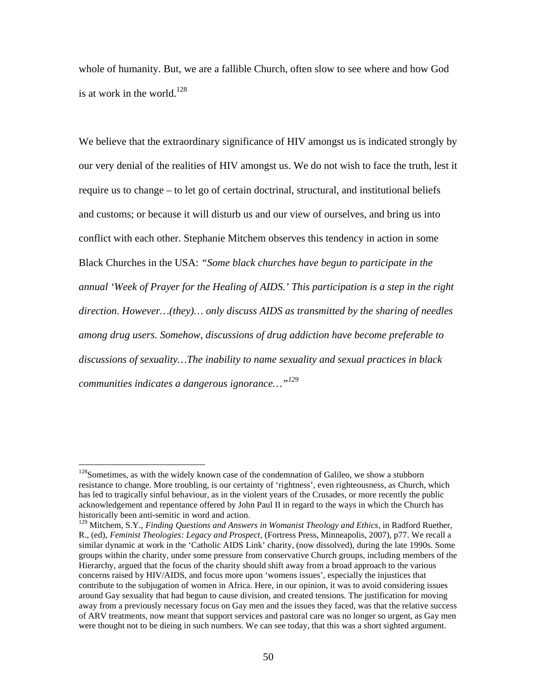whole of humanity. But, we are a fallible Church, often slow to see where and how God is at work in the world. $128$ 

We believe that the extraordinary significance of HIV amongst us is indicated strongly by our very denial of the realities of HIV amongst us. We do not wish to face the truth, lest it require us to change – to let go of certain doctrinal, structural, and institutional beliefs and customs; or because it will disturb us and our view of ourselves, and bring us into conflict with each other. Stephanie Mitchem observes this tendency in action in some Black Churches in the USA: *"Some black churches have begun to participate in the annual 'Week of Prayer for the Healing of AIDS.' This participation is a step in the right direction. However…(they)… only discuss AIDS as transmitted by the sharing of needles among drug users. Somehow, discussions of drug addiction have become preferable to discussions of sexuality…The inability to name sexuality and sexual practices in black communities indicates a dangerous ignorance…"<sup>129</sup>*

 $128$ Sometimes, as with the widely known case of the condemnation of Galileo, we show a stubborn resistance to change. More troubling, is our certainty of 'rightness', even righteousness, as Church, which has led to tragically sinful behaviour, as in the violent years of the Crusades, or more recently the public acknowledgement and repentance offered by John Paul II in regard to the ways in which the Church has historically been anti-semitic in word and action.

<sup>&</sup>lt;sup>129</sup> Mitchem, S.Y., *Finding Questions and Answers in Womanist Theology and Ethics*, in Radford Ruether, R., (ed), *Feminist Theologies: Legacy and Prospect*, (Fortress Press, Minneapolis, 2007), p77. We recall a similar dynamic at work in the 'Catholic AIDS Link' charity, (now dissolved), during the late 1990s. Some groups within the charity, under some pressure from conservative Church groups, including members of the Hierarchy, argued that the focus of the charity should shift away from a broad approach to the various concerns raised by HIV/AIDS, and focus more upon 'womens issues', especially the injustices that contribute to the subjugation of women in Africa. Here, in our opinion, it was to avoid considering issues around Gay sexuality that had begun to cause division, and created tensions. The justification for moving away from a previously necessary focus on Gay men and the issues they faced, was that the relative success of ARV treatments, now meant that support services and pastoral care was no longer so urgent, as Gay men were thought not to be dieing in such numbers. We can see today, that this was a short sighted argument.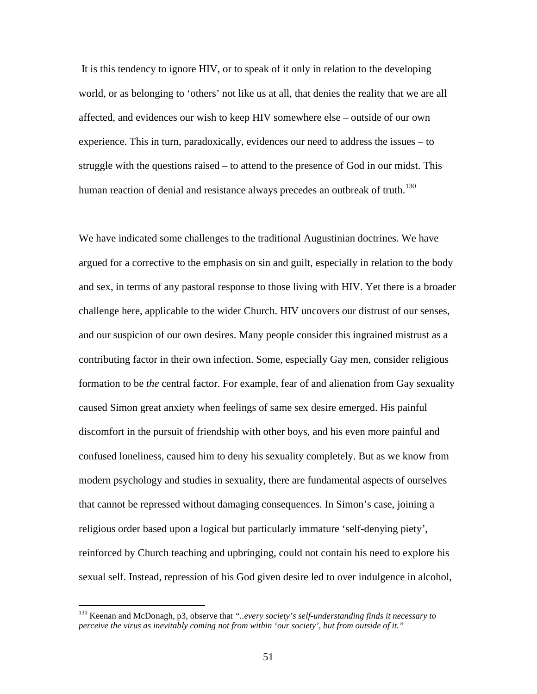It is this tendency to ignore HIV, or to speak of it only in relation to the developing world, or as belonging to 'others' not like us at all, that denies the reality that we are all affected, and evidences our wish to keep HIV somewhere else – outside of our own experience. This in turn, paradoxically, evidences our need to address the issues – to struggle with the questions raised – to attend to the presence of God in our midst. This human reaction of denial and resistance always precedes an outbreak of truth.<sup>130</sup>

We have indicated some challenges to the traditional Augustinian doctrines. We have argued for a corrective to the emphasis on sin and guilt, especially in relation to the body and sex, in terms of any pastoral response to those living with HIV. Yet there is a broader challenge here, applicable to the wider Church. HIV uncovers our distrust of our senses, and our suspicion of our own desires. Many people consider this ingrained mistrust as a contributing factor in their own infection. Some, especially Gay men, consider religious formation to be *the* central factor. For example, fear of and alienation from Gay sexuality caused Simon great anxiety when feelings of same sex desire emerged. His painful discomfort in the pursuit of friendship with other boys, and his even more painful and confused loneliness, caused him to deny his sexuality completely. But as we know from modern psychology and studies in sexuality, there are fundamental aspects of ourselves that cannot be repressed without damaging consequences. In Simon's case, joining a religious order based upon a logical but particularly immature 'self-denying piety', reinforced by Church teaching and upbringing, could not contain his need to explore his sexual self. Instead, repression of his God given desire led to over indulgence in alcohol,

<sup>130</sup> Keenan and McDonagh, p3, observe that *"..every society's self-understanding finds it necessary to perceive the virus as inevitably coming not from within 'our society', but from outside of it."*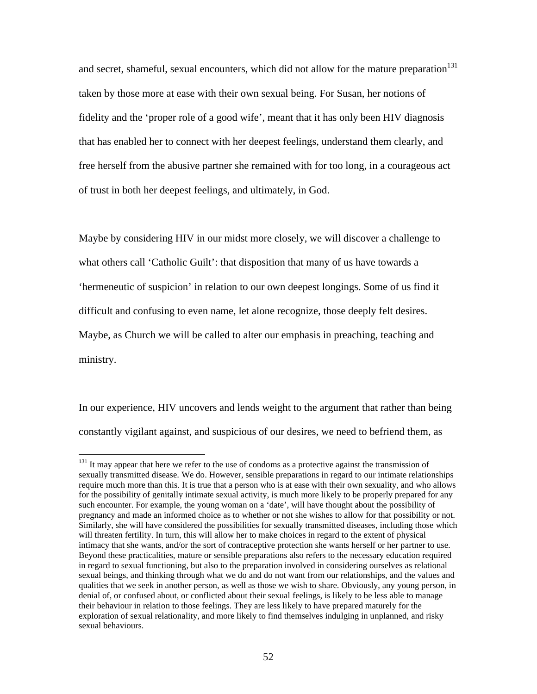and secret, shameful, sexual encounters, which did not allow for the mature preparation<sup>131</sup> taken by those more at ease with their own sexual being. For Susan, her notions of fidelity and the 'proper role of a good wife', meant that it has only been HIV diagnosis that has enabled her to connect with her deepest feelings, understand them clearly, and free herself from the abusive partner she remained with for too long, in a courageous act of trust in both her deepest feelings, and ultimately, in God.

Maybe by considering HIV in our midst more closely, we will discover a challenge to what others call 'Catholic Guilt': that disposition that many of us have towards a 'hermeneutic of suspicion' in relation to our own deepest longings. Some of us find it difficult and confusing to even name, let alone recognize, those deeply felt desires. Maybe, as Church we will be called to alter our emphasis in preaching, teaching and ministry.

In our experience, HIV uncovers and lends weight to the argument that rather than being constantly vigilant against, and suspicious of our desires, we need to befriend them, as

 $131$  It may appear that here we refer to the use of condoms as a protective against the transmission of sexually transmitted disease. We do. However, sensible preparations in regard to our intimate relationships require much more than this. It is true that a person who is at ease with their own sexuality, and who allows for the possibility of genitally intimate sexual activity, is much more likely to be properly prepared for any such encounter. For example, the young woman on a 'date', will have thought about the possibility of pregnancy and made an informed choice as to whether or not she wishes to allow for that possibility or not. Similarly, she will have considered the possibilities for sexually transmitted diseases, including those which will threaten fertility. In turn, this will allow her to make choices in regard to the extent of physical intimacy that she wants, and/or the sort of contraceptive protection she wants herself or her partner to use. Beyond these practicalities, mature or sensible preparations also refers to the necessary education required in regard to sexual functioning, but also to the preparation involved in considering ourselves as relational sexual beings, and thinking through what we do and do not want from our relationships, and the values and qualities that we seek in another person, as well as those we wish to share. Obviously, any young person, in denial of, or confused about, or conflicted about their sexual feelings, is likely to be less able to manage their behaviour in relation to those feelings. They are less likely to have prepared maturely for the exploration of sexual relationality, and more likely to find themselves indulging in unplanned, and risky sexual behaviours.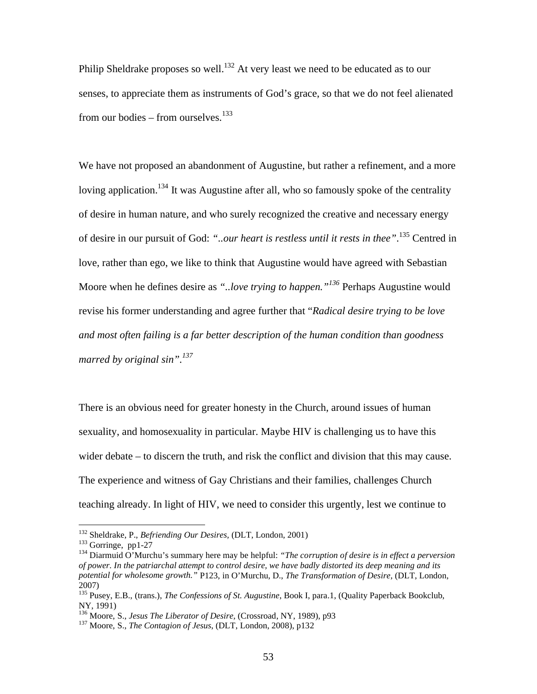Philip Sheldrake proposes so well.<sup>132</sup> At very least we need to be educated as to our senses, to appreciate them as instruments of God's grace, so that we do not feel alienated from our bodies – from ourselves.<sup>133</sup>

We have not proposed an abandonment of Augustine, but rather a refinement, and a more loving application.<sup>134</sup> It was Augustine after all, who so famously spoke of the centrality of desire in human nature, and who surely recognized the creative and necessary energy of desire in our pursuit of God: *"..our heart is restless until it rests in thee"*. <sup>135</sup> Centred in love, rather than ego, we like to think that Augustine would have agreed with Sebastian Moore when he defines desire as *"..love trying to happen."<sup>136</sup>* Perhaps Augustine would revise his former understanding and agree further that "*Radical desire trying to be love and most often failing is a far better description of the human condition than goodness marred by original sin".137*

There is an obvious need for greater honesty in the Church, around issues of human sexuality, and homosexuality in particular. Maybe HIV is challenging us to have this wider debate – to discern the truth, and risk the conflict and division that this may cause. The experience and witness of Gay Christians and their families, challenges Church teaching already. In light of HIV, we need to consider this urgently, lest we continue to

<sup>&</sup>lt;sup>132</sup> Sheldrake, P., *Befriending Our Desires*, (DLT, London, 2001)<br><sup>133</sup> Gorringe, pp1-27<br><sup>134</sup> Diarmuid O'Murchu's summary here may be helpful: *"The corruption of desire is in effect a perversion of power. In the patriarchal attempt to control desire, we have badly distorted its deep meaning and its potential for wholesome growth."* P123, in O'Murchu, D., *The Transformation of Desire,* (DLT, London, 2007)

<sup>135</sup> Pusey, E.B., (trans.), *The Confessions of St. Augustine*, Book I, para.1, (Quality Paperback Bookclub, NY, 1991)

<sup>&</sup>lt;sup>136</sup> Moore, S., *Jesus The Liberator of Desire*, (Crossroad, NY, 1989), p93<br><sup>137</sup> Moore, S., *The Contagion of Jesus*, (DLT, London, 2008), p132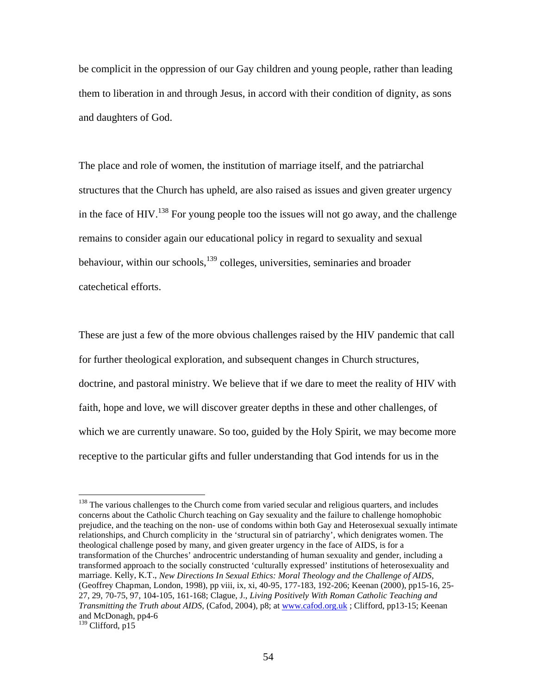be complicit in the oppression of our Gay children and young people, rather than leading them to liberation in and through Jesus, in accord with their condition of dignity, as sons and daughters of God.

The place and role of women, the institution of marriage itself, and the patriarchal structures that the Church has upheld, are also raised as issues and given greater urgency in the face of HIV.<sup>138</sup> For young people too the issues will not go away, and the challenge remains to consider again our educational policy in regard to sexuality and sexual behaviour, within our schools, $139$  colleges, universities, seminaries and broader catechetical efforts.

These are just a few of the more obvious challenges raised by the HIV pandemic that call for further theological exploration, and subsequent changes in Church structures, doctrine, and pastoral ministry. We believe that if we dare to meet the reality of HIV with faith, hope and love, we will discover greater depths in these and other challenges, of which we are currently unaware. So too, guided by the Holy Spirit, we may become more receptive to the particular gifts and fuller understanding that God intends for us in the

<sup>&</sup>lt;sup>138</sup> The various challenges to the Church come from varied secular and religious quarters, and includes concerns about the Catholic Church teaching on Gay sexuality and the failure to challenge homophobic prejudice, and the teaching on the non- use of condoms within both Gay and Heterosexual sexually intimate relationships, and Church complicity in the 'structural sin of patriarchy', which denigrates women. The theological challenge posed by many, and given greater urgency in the face of AIDS, is for a transformation of the Churches' androcentric understanding of human sexuality and gender, including a transformed approach to the socially constructed 'culturally expressed' institutions of heterosexuality and marriage. Kelly, K.T., *New Directions In Sexual Ethics: Moral Theology and the Challenge of AIDS*, (Geoffrey Chapman, London, 1998), pp viii, ix, xi, 40-95, 177-183, 192-206; Keenan (2000), pp15-16, 25- 27, 29, 70-75, 97, 104-105, 161-168; Clague, J., *Living Positively With Roman Catholic Teaching and Transmitting the Truth about AIDS,* (Cafod, 2004), p8; at www.cafod.org.uk ; Clifford, pp13-15; Keenan and McDonagh, pp4-6 <sup>139</sup> Clifford, p15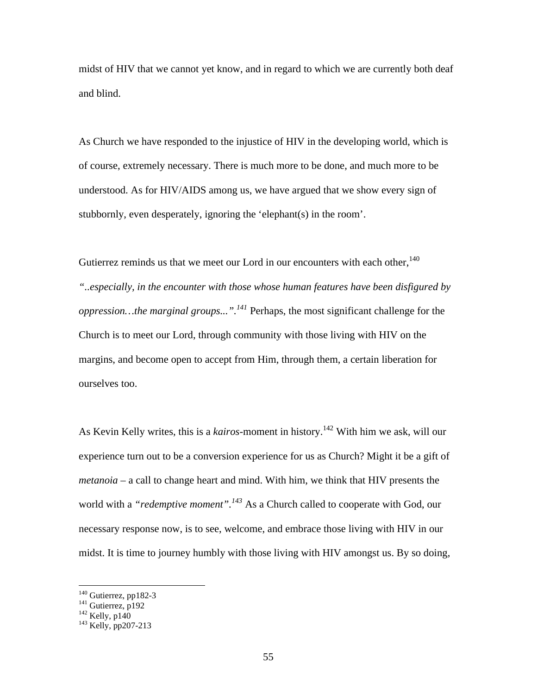midst of HIV that we cannot yet know, and in regard to which we are currently both deaf and blind.

As Church we have responded to the injustice of HIV in the developing world, which is of course, extremely necessary. There is much more to be done, and much more to be understood. As for HIV/AIDS among us, we have argued that we show every sign of stubbornly, even desperately, ignoring the 'elephant(s) in the room'.

Gutierrez reminds us that we meet our Lord in our encounters with each other,  $140$ *"..especially, in the encounter with those whose human features have been disfigured by oppression…the marginal groups...".141* Perhaps, the most significant challenge for the Church is to meet our Lord, through community with those living with HIV on the margins, and become open to accept from Him, through them, a certain liberation for ourselves too.

As Kevin Kelly writes, this is a *kairos*-moment in history.<sup>142</sup> With him we ask, will our experience turn out to be a conversion experience for us as Church? Might it be a gift of *metanoia* – a call to change heart and mind. With him, we think that HIV presents the world with a *"redemptive moment".<sup>143</sup>* As a Church called to cooperate with God, our necessary response now, is to see, welcome, and embrace those living with HIV in our midst. It is time to journey humbly with those living with HIV amongst us. By so doing,

<sup>&</sup>lt;sup>140</sup> Gutierrez, pp182-3<br><sup>141</sup> Gutierrez, p192<br><sup>142</sup> Kelly, p140<br><sup>143</sup> Kelly, pp207-213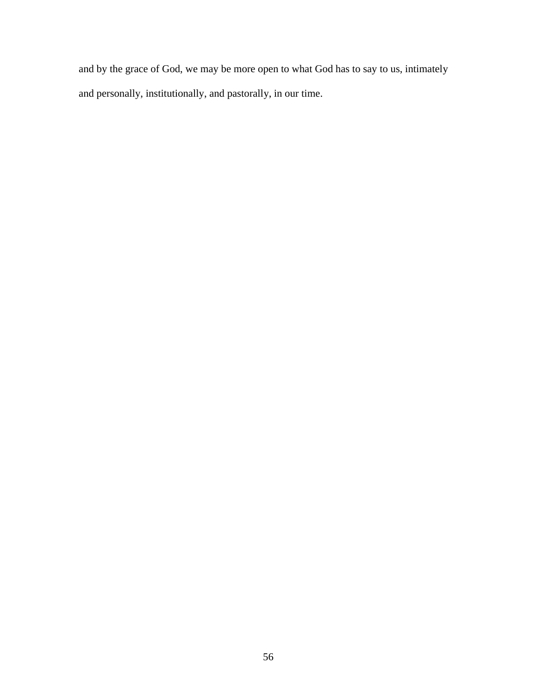and by the grace of God, we may be more open to what God has to say to us, intimately and personally, institutionally, and pastorally, in our time.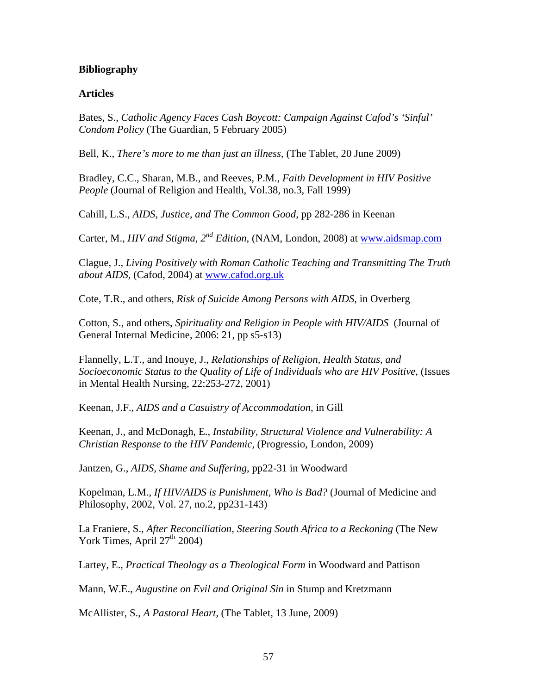### **Bibliography**

### **Articles**

Bates, S., *Catholic Agency Faces Cash Boycott: Campaign Against Cafod's 'Sinful' Condom Policy* (The Guardian, 5 February 2005)

Bell, K., *There's more to me than just an illness,* (The Tablet, 20 June 2009)

Bradley, C.C., Sharan, M.B., and Reeves, P.M., *Faith Development in HIV Positive People* (Journal of Religion and Health, Vol.38, no.3, Fall 1999)

Cahill, L.S., *AIDS, Justice, and The Common Good*, pp 282-286 in Keenan

Carter, M., *HIV and Stigma, 2nd Edition*, (NAM, London, 2008) at www.aidsmap.com

Clague, J., *Living Positively with Roman Catholic Teaching and Transmitting The Truth about AIDS,* (Cafod, 2004) at www.cafod.org.uk

Cote, T.R., and others, *Risk of Suicide Among Persons with AIDS*, in Overberg

Cotton, S., and others, *Spirituality and Religion in People with HIV/AIDS* (Journal of General Internal Medicine, 2006: 21, pp s5-s13)

Flannelly, L.T., and Inouye, J., *Relationships of Religion, Health Status, and Socioeconomic Status to the Quality of Life of Individuals who are HIV Positive,* (Issues in Mental Health Nursing, 22:253-272, 2001)

Keenan, J.F., *AIDS and a Casuistry of Accommodation*, in Gill

Keenan, J., and McDonagh, E., *Instability, Structural Violence and Vulnerability: A Christian Response to the HIV Pandemic,* (Progressio, London, 2009)

Jantzen, G., *AIDS, Shame and Suffering*, pp22-31 in Woodward

Kopelman, L.M., *If HIV/AIDS is Punishment, Who is Bad?* (Journal of Medicine and Philosophy, 2002, Vol. 27, no.2, pp231-143)

La Franiere, S., *After Reconciliation, Steering South Africa to a Reckoning* (The New York Times, April  $27<sup>th</sup> 2004$ )

Lartey, E., *Practical Theology as a Theological Form* in Woodward and Pattison

Mann, W.E., *Augustine on Evil and Original Sin* in Stump and Kretzmann

McAllister, S., *A Pastoral Heart,* (The Tablet, 13 June, 2009)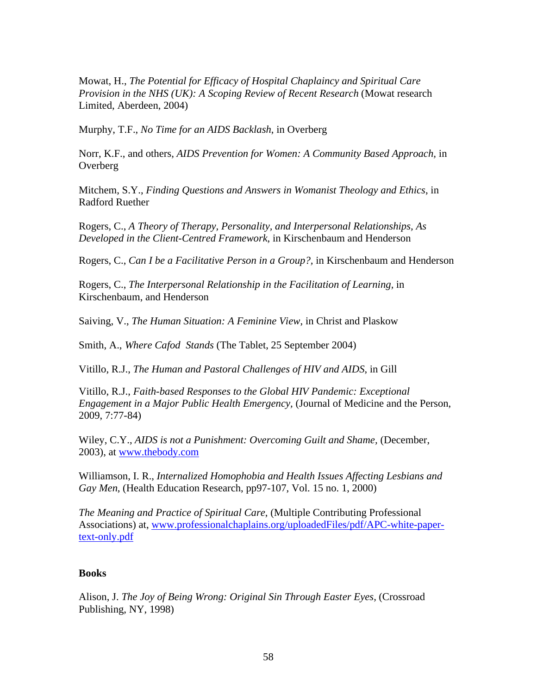Mowat, H., *The Potential for Efficacy of Hospital Chaplaincy and Spiritual Care Provision in the NHS (UK): A Scoping Review of Recent Research* (Mowat research Limited, Aberdeen, 2004)

Murphy, T.F., *No Time for an AIDS Backlash*, in Overberg

Norr, K.F., and others, *AIDS Prevention for Women: A Community Based Approach,* in **Overberg** 

Mitchem, S.Y., *Finding Questions and Answers in Womanist Theology and Ethics*, in Radford Ruether

Rogers, C., *A Theory of Therapy, Personality, and Interpersonal Relationships, As Developed in the Client-Centred Framework*, in Kirschenbaum and Henderson

Rogers, C., *Can I be a Facilitative Person in a Group?,* in Kirschenbaum and Henderson

Rogers, C., *The Interpersonal Relationship in the Facilitation of Learning,* in Kirschenbaum, and Henderson

Saiving, V., *The Human Situation: A Feminine View*, in Christ and Plaskow

Smith, A., *Where Cafod Stands* (The Tablet, 25 September 2004)

Vitillo, R.J., *The Human and Pastoral Challenges of HIV and AIDS*, in Gill

Vitillo, R.J., *Faith-based Responses to the Global HIV Pandemic: Exceptional Engagement in a Major Public Health Emergency,* (Journal of Medicine and the Person, 2009, 7:77-84)

Wiley, C.Y., *AIDS is not a Punishment: Overcoming Guilt and Shame,* (December, 2003), at www.thebody.com

Williamson, I. R., *Internalized Homophobia and Health Issues Affecting Lesbians and Gay Men*, (Health Education Research, pp97-107, Vol. 15 no. 1, 2000)

*The Meaning and Practice of Spiritual Care*, (Multiple Contributing Professional Associations) at, www.professionalchaplains.org/uploadedFiles/pdf/APC-white-papertext-only.pdf

### **Books**

Alison, J. *The Joy of Being Wrong: Original Sin Through Easter Eyes,* (Crossroad Publishing, NY, 1998)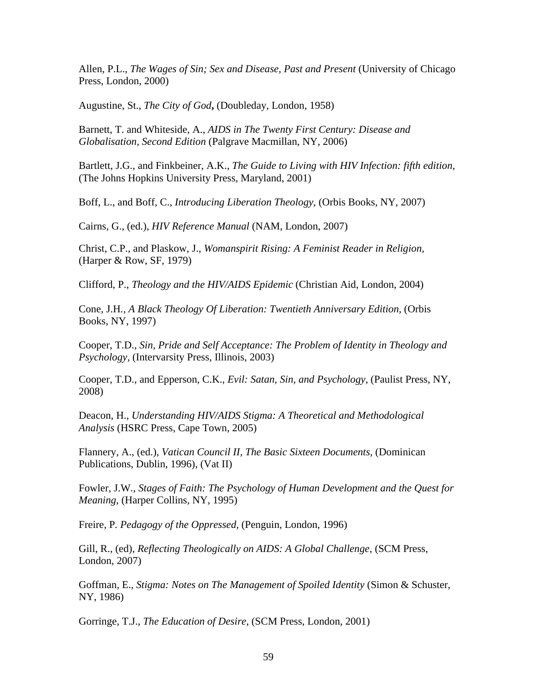Allen, P.L., *The Wages of Sin; Sex and Disease, Past and Present* (University of Chicago Press, London, 2000)

Augustine, St., *The City of God***,** (Doubleday, London, 1958)

Barnett, T. and Whiteside, A., *AIDS in The Twenty First Century: Disease and Globalisation, Second Edition* (Palgrave Macmillan, NY, 2006)

Bartlett, J.G., and Finkbeiner, A.K., *The Guide to Living with HIV Infection: fifth edition,* (The Johns Hopkins University Press, Maryland, 2001)

Boff, L., and Boff, C., *Introducing Liberation Theology,* (Orbis Books, NY, 2007)

Cairns, G., (ed.), *HIV Reference Manual* (NAM, London, 2007)

Christ, C.P., and Plaskow, J., *Womanspirit Rising: A Feminist Reader in Religion,* (Harper & Row, SF, 1979)

Clifford, P., *Theology and the HIV/AIDS Epidemic* (Christian Aid, London, 2004)

Cone, J.H*., A Black Theology Of Liberation: Twentieth Anniversary Edition,* (Orbis Books, NY, 1997)

Cooper, T.D., *Sin, Pride and Self Acceptance: The Problem of Identity in Theology and Psychology,* (Intervarsity Press, Illinois, 2003)

Cooper, T.D., and Epperson, C.K., *Evil: Satan, Sin, and Psychology,* (Paulist Press, NY, 2008)

Deacon, H., *Understanding HIV/AIDS Stigma: A Theoretical and Methodological Analysis* (HSRC Press, Cape Town, 2005)

Flannery, A., (ed.), *Vatican Council II, The Basic Sixteen Documents,* (Dominican Publications, Dublin, 1996), (Vat II)

Fowler, J.W., *Stages of Faith: The Psychology of Human Development and the Quest for Meaning*, (Harper Collins, NY, 1995)

Freire, P*. Pedagogy of the Oppressed,* (Penguin, London, 1996)

Gill, R., (ed), *Reflecting Theologically on AIDS: A Global Challenge*, (SCM Press, London, 2007)

Goffman, E., *Stigma: Notes on The Management of Spoiled Identity* (Simon & Schuster, NY, 1986)

Gorringe, T.J., *The Education of Desire*, (SCM Press, London, 2001)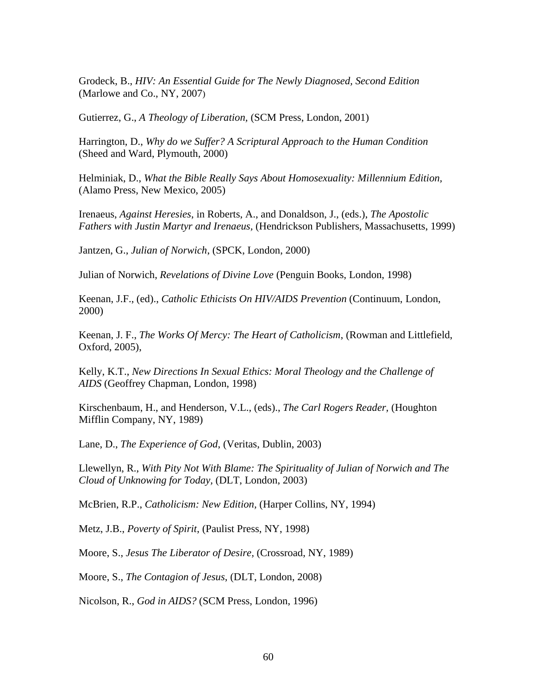Grodeck, B., *HIV: An Essential Guide for The Newly Diagnosed, Second Edition* (Marlowe and Co., NY, 2007)

Gutierrez, G., *A Theology of Liberation,* (SCM Press, London, 2001)

Harrington, D., *Why do we Suffer? A Scriptural Approach to the Human Condition* (Sheed and Ward, Plymouth, 2000)

Helminiak, D., *What the Bible Really Says About Homosexuality: Millennium Edition,* (Alamo Press, New Mexico, 2005)

Irenaeus, *Against Heresies*, in Roberts, A., and Donaldson, J., (eds.), *The Apostolic Fathers with Justin Martyr and Irenaeus,* (Hendrickson Publishers, Massachusetts, 1999)

Jantzen, G., *Julian of Norwich*, (SPCK, London, 2000)

Julian of Norwich, *Revelations of Divine Love* (Penguin Books, London, 1998)

Keenan, J.F., (ed)., *Catholic Ethicists On HIV/AIDS Prevention* (Continuum, London, 2000)

Keenan, J. F., *The Works Of Mercy: The Heart of Catholicism*, (Rowman and Littlefield, Oxford, 2005),

Kelly, K.T., *New Directions In Sexual Ethics: Moral Theology and the Challenge of AIDS* (Geoffrey Chapman, London, 1998)

Kirschenbaum, H., and Henderson, V.L., (eds)., *The Carl Rogers Reader,* (Houghton Mifflin Company, NY, 1989)

Lane, D., *The Experience of God*, (Veritas, Dublin, 2003)

Llewellyn, R., *With Pity Not With Blame: The Spirituality of Julian of Norwich and The Cloud of Unknowing for Today,* (DLT, London, 2003)

McBrien, R.P., *Catholicism: New Edition,* (Harper Collins, NY, 1994)

Metz, J.B., *Poverty of Spirit*, (Paulist Press, NY, 1998)

Moore, S., *Jesus The Liberator of Desire,* (Crossroad, NY, 1989)

Moore, S., *The Contagion of Jesus*, (DLT, London, 2008)

Nicolson, R., *God in AIDS?* (SCM Press, London, 1996)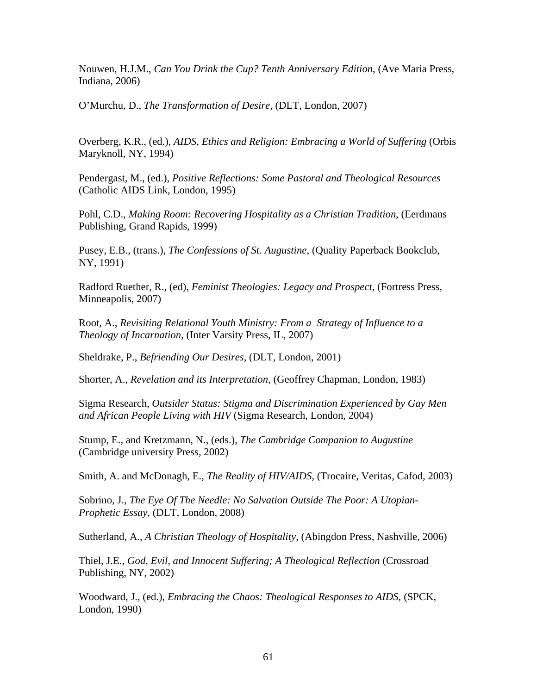Nouwen, H.J.M., *Can You Drink the Cup? Tenth Anniversary Edition*, (Ave Maria Press, Indiana, 2006)

O'Murchu, D., *The Transformation of Desire,* (DLT, London, 2007)

Overberg, K.R., (ed.), *AIDS, Ethics and Religion: Embracing a World of Suffering* (Orbis Maryknoll, NY, 1994)

Pendergast, M., (ed.), *Positive Reflections: Some Pastoral and Theological Resources* (Catholic AIDS Link, London, 1995)

Pohl, C.D., *Making Room: Recovering Hospitality as a Christian Tradition*, (Eerdmans Publishing, Grand Rapids, 1999)

Pusey, E.B., (trans.), *The Confessions of St. Augustine*, (Quality Paperback Bookclub, NY, 1991)

Radford Ruether, R., (ed), *Feminist Theologies: Legacy and Prospect*, (Fortress Press, Minneapolis, 2007)

Root, A., *Revisiting Relational Youth Ministry: From a Strategy of Influence to a Theology of Incarnation,* (Inter Varsity Press, IL, 2007)

Sheldrake, P., *Befriending Our Desires,* (DLT, London, 2001)

Shorter, A., *Revelation and its Interpretation*, (Geoffrey Chapman, London, 1983)

Sigma Research, *Outsider Status: Stigma and Discrimination Experienced by Gay Men and African People Living with HIV* (Sigma Research, London, 2004)

Stump, E., and Kretzmann, N., (eds.), *The Cambridge Companion to Augustine* (Cambridge university Press, 2002)

Smith, A. and McDonagh, E., *The Reality of HIV/AIDS,* (Trocaire, Veritas, Cafod, 2003)

Sobrino, J., *The Eye Of The Needle: No Salvation Outside The Poor: A Utopian-Prophetic Essay*, (DLT, London, 2008)

Sutherland, A., *A Christian Theology of Hospitality*, (Abingdon Press, Nashville, 2006)

Thiel, J.E., *God, Evil, and Innocent Suffering; A Theological Reflection* (Crossroad Publishing, NY, 2002)

Woodward, J., (ed.), *Embracing the Chaos: Theological Responses to AIDS,* (SPCK, London, 1990)